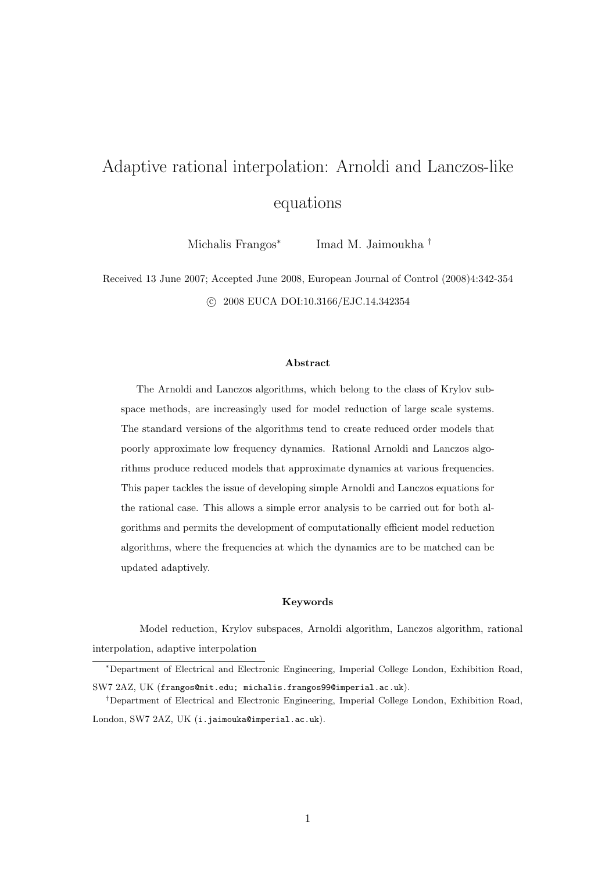# Adaptive rational interpolation: Arnoldi and Lanczos-like equations

Michalis Frangos<sup>\*</sup> Imad M. Jaimoukha †

Received 13 June 2007; Accepted June 2008, European Journal of Control (2008)4:342-354 c 2008 EUCA DOI:10.3166/EJC.14.342354

#### Abstract

The Arnoldi and Lanczos algorithms, which belong to the class of Krylov subspace methods, are increasingly used for model reduction of large scale systems. The standard versions of the algorithms tend to create reduced order models that poorly approximate low frequency dynamics. Rational Arnoldi and Lanczos algorithms produce reduced models that approximate dynamics at various frequencies. This paper tackles the issue of developing simple Arnoldi and Lanczos equations for the rational case. This allows a simple error analysis to be carried out for both algorithms and permits the development of computationally efficient model reduction algorithms, where the frequencies at which the dynamics are to be matched can be updated adaptively.

#### Keywords

Model reduction, Krylov subspaces, Arnoldi algorithm, Lanczos algorithm, rational interpolation, adaptive interpolation

<sup>∗</sup>Department of Electrical and Electronic Engineering, Imperial College London, Exhibition Road, SW7 2AZ, UK (frangos@mit.edu; michalis.frangos99@imperial.ac.uk).

<sup>†</sup>Department of Electrical and Electronic Engineering, Imperial College London, Exhibition Road, London, SW7 2AZ, UK (i.jaimouka@imperial.ac.uk).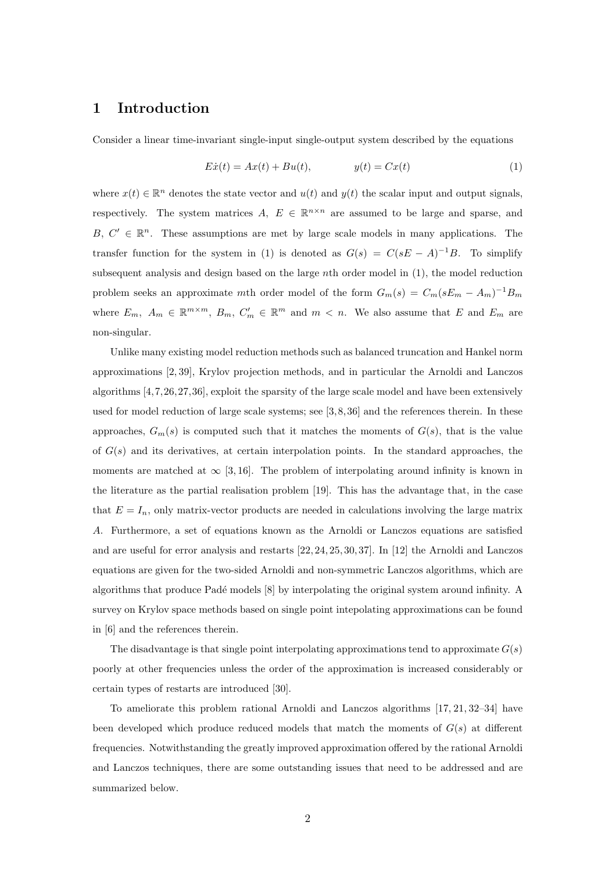# 1 Introduction

Consider a linear time-invariant single-input single-output system described by the equations

$$
Ex(t) = Ax(t) + Bu(t), \qquad y(t) = Cx(t) \tag{1}
$$

where  $x(t) \in \mathbb{R}^n$  denotes the state vector and  $u(t)$  and  $y(t)$  the scalar input and output signals, respectively. The system matrices  $A, E \in \mathbb{R}^{n \times n}$  are assumed to be large and sparse, and B,  $C' \in \mathbb{R}^n$ . These assumptions are met by large scale models in many applications. The transfer function for the system in (1) is denoted as  $G(s) = C(sE - A)^{-1}B$ . To simplify subsequent analysis and design based on the large nth order model in (1), the model reduction problem seeks an approximate mth order model of the form  $G_m(s) = C_m(sE_m - A_m)^{-1}B_m$ where  $E_m$ ,  $A_m \in \mathbb{R}^{m \times m}$ ,  $B_m$ ,  $C'_m \in \mathbb{R}^m$  and  $m < n$ . We also assume that E and  $E_m$  are non-singular.

Unlike many existing model reduction methods such as balanced truncation and Hankel norm approximations [2, 39], Krylov projection methods, and in particular the Arnoldi and Lanczos algorithms [4,7,26,27,36], exploit the sparsity of the large scale model and have been extensively used for model reduction of large scale systems; see [3, 8, 36] and the references therein. In these approaches,  $G_m(s)$  is computed such that it matches the moments of  $G(s)$ , that is the value of  $G(s)$  and its derivatives, at certain interpolation points. In the standard approaches, the moments are matched at  $\infty$  [3, 16]. The problem of interpolating around infinity is known in the literature as the partial realisation problem [19]. This has the advantage that, in the case that  $E = I_n$ , only matrix-vector products are needed in calculations involving the large matrix A. Furthermore, a set of equations known as the Arnoldi or Lanczos equations are satisfied and are useful for error analysis and restarts [22, 24, 25, 30, 37]. In [12] the Arnoldi and Lanczos equations are given for the two-sided Arnoldi and non-symmetric Lanczos algorithms, which are algorithms that produce Padé models [8] by interpolating the original system around infinity. A survey on Krylov space methods based on single point intepolating approximations can be found in [6] and the references therein.

The disadvantage is that single point interpolating approximations tend to approximate  $G(s)$ poorly at other frequencies unless the order of the approximation is increased considerably or certain types of restarts are introduced [30].

To ameliorate this problem rational Arnoldi and Lanczos algorithms [17, 21, 32–34] have been developed which produce reduced models that match the moments of  $G(s)$  at different frequencies. Notwithstanding the greatly improved approximation offered by the rational Arnoldi and Lanczos techniques, there are some outstanding issues that need to be addressed and are summarized below.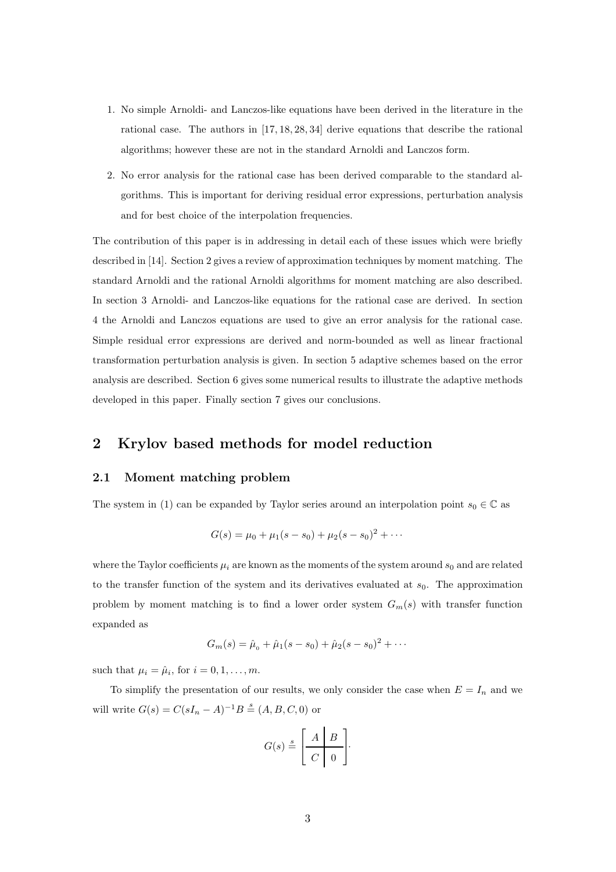- 1. No simple Arnoldi- and Lanczos-like equations have been derived in the literature in the rational case. The authors in [17, 18, 28, 34] derive equations that describe the rational algorithms; however these are not in the standard Arnoldi and Lanczos form.
- 2. No error analysis for the rational case has been derived comparable to the standard algorithms. This is important for deriving residual error expressions, perturbation analysis and for best choice of the interpolation frequencies.

The contribution of this paper is in addressing in detail each of these issues which were briefly described in [14]. Section 2 gives a review of approximation techniques by moment matching. The standard Arnoldi and the rational Arnoldi algorithms for moment matching are also described. In section 3 Arnoldi- and Lanczos-like equations for the rational case are derived. In section 4 the Arnoldi and Lanczos equations are used to give an error analysis for the rational case. Simple residual error expressions are derived and norm-bounded as well as linear fractional transformation perturbation analysis is given. In section 5 adaptive schemes based on the error analysis are described. Section 6 gives some numerical results to illustrate the adaptive methods developed in this paper. Finally section 7 gives our conclusions.

# 2 Krylov based methods for model reduction

## 2.1 Moment matching problem

The system in (1) can be expanded by Taylor series around an interpolation point  $s_0 \in \mathbb{C}$  as

$$
G(s) = \mu_0 + \mu_1(s - s_0) + \mu_2(s - s_0)^2 + \cdots
$$

where the Taylor coefficients  $\mu_i$  are known as the moments of the system around  $s_0$  and are related to the transfer function of the system and its derivatives evaluated at  $s_0$ . The approximation problem by moment matching is to find a lower order system  $G_m(s)$  with transfer function expanded as

$$
G_m(s) = \hat{\mu}_0 + \hat{\mu}_1(s - s_0) + \hat{\mu}_2(s - s_0)^2 + \cdots
$$

such that  $\mu_i = \hat{\mu}_i$ , for  $i = 0, 1, \dots, m$ .

To simplify the presentation of our results, we only consider the case when  $E = I_n$  and we will write  $G(s) = C(sI_n - A)^{-1}B \stackrel{s}{=} (A, B, C, 0)$  or

$$
G(s) \stackrel{s}{=} \left[ \begin{array}{c|c} A & B \\ \hline C & 0 \end{array} \right].
$$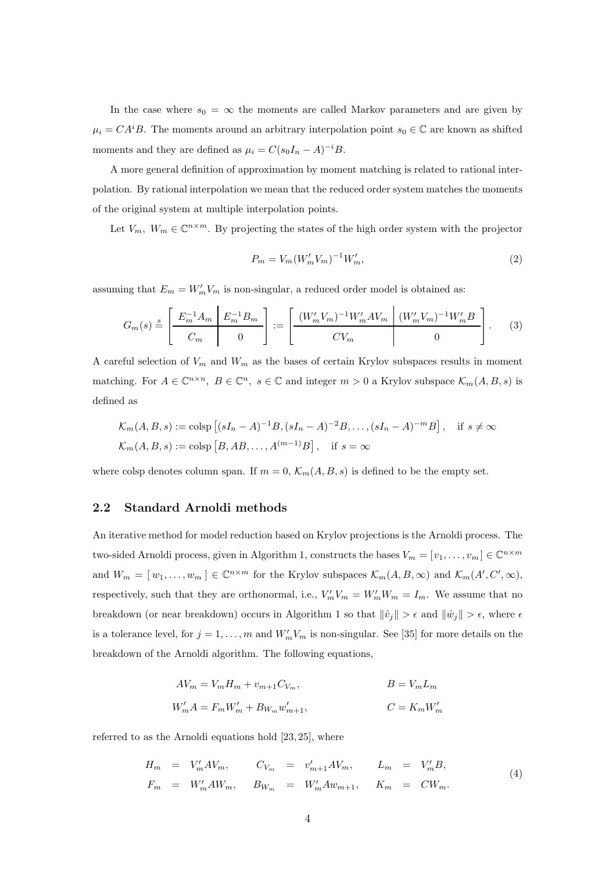In the case where  $s_0 = \infty$  the moments are called Markov parameters and are given by  $\mu_i = CA^iB$ . The moments around an arbitrary interpolation point  $s_0 \in \mathbb{C}$  are known as shifted moments and they are defined as  $\mu_i = C(s_0 I_n - A)^{-i} B$ .

A more general definition of approximation by moment matching is related to rational interpolation. By rational interpolation we mean that the reduced order system matches the moments of the original system at multiple interpolation points.

Let  $V_m$ ,  $W_m \in \mathbb{C}^{n \times m}$ . By projecting the states of the high order system with the projector

$$
P_m = V_m (W'_m V_m)^{-1} W'_m,
$$
\n(2)

assuming that  $E_m = W'_m V_m$  is non-singular, a reduced order model is obtained as:

$$
G_m(s) \stackrel{s}{=} \left[ \begin{array}{c|c} E_m^{-1} A_m & E_m^{-1} B_m \\ \hline C_m & 0 \end{array} \right] := \left[ \begin{array}{c|c} (W_m' V_m)^{-1} W_m' A V_m & (W_m' V_m)^{-1} W_m' B \\ \hline C V_m & 0 \end{array} \right]. \tag{3}
$$

A careful selection of  $V_m$  and  $W_m$  as the bases of certain Krylov subspaces results in moment matching. For  $A \in \mathbb{C}^{n \times n}$ ,  $B \in \mathbb{C}^n$ ,  $s \in \mathbb{C}$  and integer  $m > 0$  a Krylov subspace  $\mathcal{K}_m(A, B, s)$  is defined as

$$
\mathcal{K}_m(A, B, s) := \text{colsp}\left[ (sI_n - A)^{-1}B, (sI_n - A)^{-2}B, \dots, (sI_n - A)^{-m}B \right], \quad \text{if } s \neq \infty
$$
  

$$
\mathcal{K}_m(A, B, s) := \text{colsp}\left[ B, AB, \dots, A^{(m-1)}B \right], \quad \text{if } s = \infty
$$

where colsp denotes column span. If  $m = 0$ ,  $\mathcal{K}_m(A, B, s)$  is defined to be the empty set.

## 2.2 Standard Arnoldi methods

An iterative method for model reduction based on Krylov projections is the Arnoldi process. The two-sided Arnoldi process, given in Algorithm 1, constructs the bases  $V_m = [v_1, \ldots, v_m] \in \mathbb{C}^{n \times m}$ and  $W_m = [w_1, \ldots, w_m] \in \mathbb{C}^{n \times m}$  for the Krylov subspaces  $\mathcal{K}_m(A, B, \infty)$  and  $\mathcal{K}_m(A', C', \infty)$ , respectively, such that they are orthonormal, i.e.,  $V'_m V_m = W'_m W_m = I_m$ . We assume that no breakdown (or near breakdown) occurs in Algorithm 1 so that  $\|\hat{v}_j\| > \epsilon$  and  $\|\hat{w}_j\| > \epsilon$ , where  $\epsilon$ is a tolerance level, for  $j = 1, ..., m$  and  $W'_m V_m$  is non-singular. See [35] for more details on the breakdown of the Arnoldi algorithm. The following equations,

$$
AV_m = V_m H_m + v_{m+1} C_{V_m},
$$
  
\n
$$
BV'_m A = F_m W'_m + B_{W_m} w'_{m+1},
$$
  
\n
$$
C = K_m W'_m
$$

referred to as the Arnoldi equations hold [23, 25], where

$$
H_m = V'_m A V_m, \t C_{V_m} = v'_{m+1} A V_m, \t L_m = V'_m B,
$$
  
\n
$$
F_m = W'_m A W_m, \t B_{W_m} = W'_m A w_{m+1}, \t K_m = C W_m.
$$
\n(4)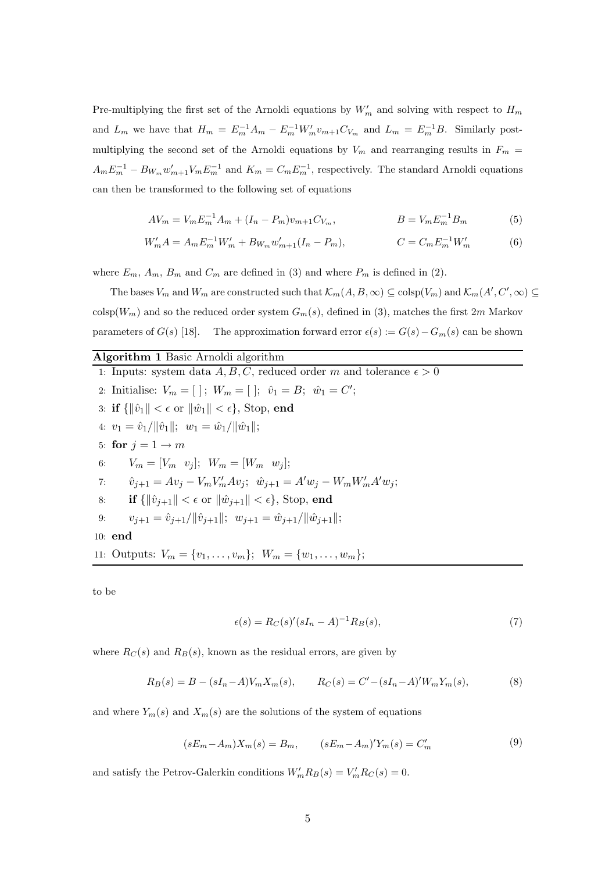Pre-multiplying the first set of the Arnoldi equations by  $W'_m$  and solving with respect to  $H_m$ and  $L_m$  we have that  $H_m = E_m^{-1}A_m - E_m^{-1}W_m'v_{m+1}C_{V_m}$  and  $L_m = E_m^{-1}B$ . Similarly postmultiplying the second set of the Arnoldi equations by  $V_m$  and rearranging results in  $F_m$  =  $A_m E_m^{-1} - B_{W_m} w'_{m+1} V_m E_m^{-1}$  and  $K_m = C_m E_m^{-1}$ , respectively. The standard Arnoldi equations can then be transformed to the following set of equations

$$
AV_m = V_m E_m^{-1} A_m + (I_n - P_m) v_{m+1} C_{V_m}, \qquad B = V_m E_m^{-1} B_m \qquad (5)
$$

$$
W'_m A = A_m E_m^{-1} W'_m + B_{W_m} w'_{m+1} (I_n - P_m), \qquad C = C_m E_m^{-1} W'_m \qquad (6)
$$

where  $E_m$ ,  $A_m$ ,  $B_m$  and  $C_m$  are defined in (3) and where  $P_m$  is defined in (2).

The bases  $V_m$  and  $W_m$  are constructed such that  $\mathcal{K}_m(A, B, \infty) \subseteq \text{colsp}(V_m)$  and  $\mathcal{K}_m(A', C', \infty) \subseteq$  $\cosh(W_m)$  and so the reduced order system  $G_m(s)$ , defined in (3), matches the first 2m Markov parameters of  $G(s)$  [18]. The approximation forward error  $\epsilon(s) := G(s) - G_m(s)$  can be shown

#### Algorithm 1 Basic Arnoldi algorithm

1: Inputs: system data  $A, B, C$ , reduced order m and tolerance  $\epsilon > 0$ 2: Initialise:  $V_m = [ ]; W_m = [ ]; \hat{v}_1 = B; \hat{w}_1 = C';$ 3: if  $\{\|\hat{v}_1\| < \epsilon \text{ or } \|\hat{w}_1\| < \epsilon\}$ , Stop, end 4:  $v_1 = \hat{v}_1/\|\hat{v}_1\|$ ;  $w_1 = \hat{w}_1/\|\hat{w}_1\|$ ; 5: for  $j = 1 \rightarrow m$ 6:  $V_m = [V_m \ v_i]; \ W_m = [W_m \ v_i];$ 7:  $\hat{v}_{j+1} = Av_j - V_m V'_m Av_j; \ \hat{w}_{j+1} = A' w_j - W_m W'_m A' w_j;$ 8: if  $\{\|\hat{v}_{i+1}\| < \epsilon \text{ or } \|\hat{w}_{i+1}\| < \epsilon\}$ , Stop, end 9:  $v_{j+1} = \hat{v}_{j+1}/\|\hat{v}_{j+1}\|; \ \ w_{j+1} = \hat{w}_{j+1}/\|\hat{w}_{j+1}\|;$ 10: end 11: Outputs:  $V_m = \{v_1, \ldots, v_m\}; W_m = \{w_1, \ldots, w_m\};$ 

to be

$$
\epsilon(s) = R_C(s)'(sI_n - A)^{-1}R_B(s),\tag{7}
$$

where  $R_C(s)$  and  $R_B(s)$ , known as the residual errors, are given by

$$
R_B(s) = B - (sI_n - A)V_m X_m(s), \qquad R_C(s) = C' - (sI_n - A)'W_m Y_m(s), \tag{8}
$$

and where  $Y_m(s)$  and  $X_m(s)$  are the solutions of the system of equations

$$
(sE_m - A_m)X_m(s) = B_m, \t(sE_m - A_m)Y_m(s) = C'_m \t(9)
$$

and satisfy the Petrov-Galerkin conditions  $W'_m R_B(s) = V'_m R_C(s) = 0$ .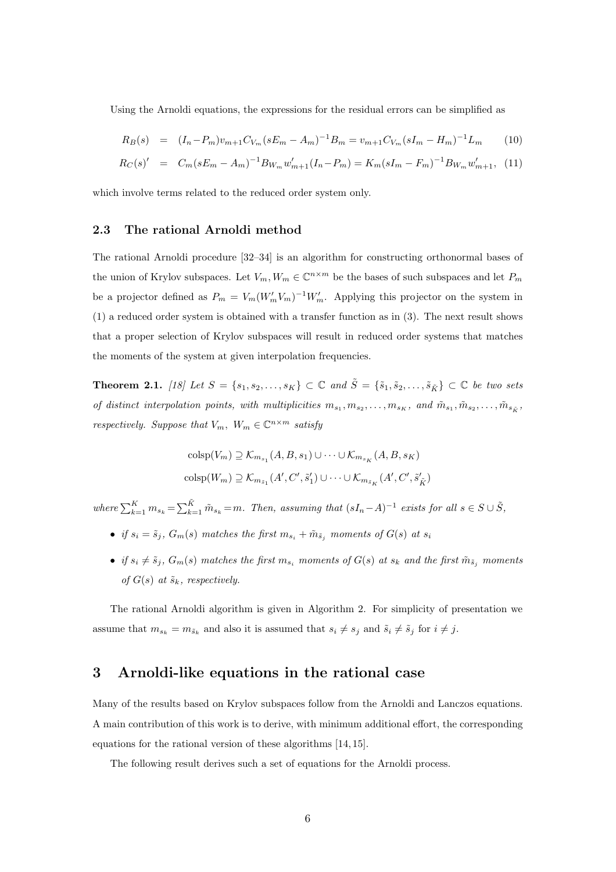Using the Arnoldi equations, the expressions for the residual errors can be simplified as

$$
R_B(s) = (I_n - P_m)v_{m+1}C_{V_m}(sE_m - A_m)^{-1}B_m = v_{m+1}C_{V_m}(sI_m - H_m)^{-1}L_m
$$
 (10)

$$
R_C(s)' = C_m(sE_m - A_m)^{-1}B_{W_m}w'_{m+1}(I_n - P_m) = K_m(sI_m - F_m)^{-1}B_{W_m}w'_{m+1},
$$
 (11)

which involve terms related to the reduced order system only.

## 2.3 The rational Arnoldi method

The rational Arnoldi procedure [32–34] is an algorithm for constructing orthonormal bases of the union of Krylov subspaces. Let  $V_m$ ,  $W_m \in \mathbb{C}^{n \times m}$  be the bases of such subspaces and let  $P_m$ be a projector defined as  $P_m = V_m (W'_m V_m)^{-1} W'_m$ . Applying this projector on the system in (1) a reduced order system is obtained with a transfer function as in (3). The next result shows that a proper selection of Krylov subspaces will result in reduced order systems that matches the moments of the system at given interpolation frequencies.

**Theorem 2.1.** [18] Let  $S = \{s_1, s_2, \ldots, s_K\} \subset \mathbb{C}$  and  $\tilde{S} = \{\tilde{s}_1, \tilde{s}_2, \ldots, \tilde{s}_K\} \subset \mathbb{C}$  be two sets of distinct interpolation points, with multiplicities  $m_{s_1}, m_{s_2}, \ldots, m_{s_K}$ , and  $\tilde{m}_{s_1}, \tilde{m}_{s_2}, \ldots, \tilde{m}_{s_{\tilde{K}}},$ respectively. Suppose that  $V_m$ ,  $W_m \in \mathbb{C}^{n \times m}$  satisfy

$$
\operatorname{colsp}(V_m) \supseteq \mathcal{K}_{m_{s_1}}(A, B, s_1) \cup \cdots \cup \mathcal{K}_{m_{s_K}}(A, B, s_K)
$$

$$
\operatorname{colsp}(W_m) \supseteq \mathcal{K}_{m_{\tilde{s}_1}}(A', C', \tilde{s}'_1) \cup \cdots \cup \mathcal{K}_{m_{\tilde{s}_K}}(A', C', \tilde{s}'_{\tilde{K}})
$$

where  $\sum_{k=1}^{K} m_{s_k} = \sum_{k=1}^{K} \tilde{m}_{s_k} = m$ . Then, assuming that  $(sI_n - A)^{-1}$  exists for all  $s \in S \cup \tilde{S}$ ,

- if  $s_i = \tilde{s}_j$ ,  $G_m(s)$  matches the first  $m_{s_i} + \tilde{m}_{\tilde{s}_j}$  moments of  $G(s)$  at  $s_i$
- if  $s_i \neq \tilde{s}_j$ ,  $G_m(s)$  matches the first  $m_{s_i}$  moments of  $G(s)$  at  $s_k$  and the first  $\tilde{m}_{\tilde{s}_j}$  moments of  $G(s)$  at  $\tilde{s}_k$ , respectively.

The rational Arnoldi algorithm is given in Algorithm 2. For simplicity of presentation we assume that  $m_{s_k} = m_{\tilde{s}_k}$  and also it is assumed that  $s_i \neq s_j$  and  $\tilde{s}_i \neq \tilde{s}_j$  for  $i \neq j$ .

## 3 Arnoldi-like equations in the rational case

Many of the results based on Krylov subspaces follow from the Arnoldi and Lanczos equations. A main contribution of this work is to derive, with minimum additional effort, the corresponding equations for the rational version of these algorithms [14, 15].

The following result derives such a set of equations for the Arnoldi process.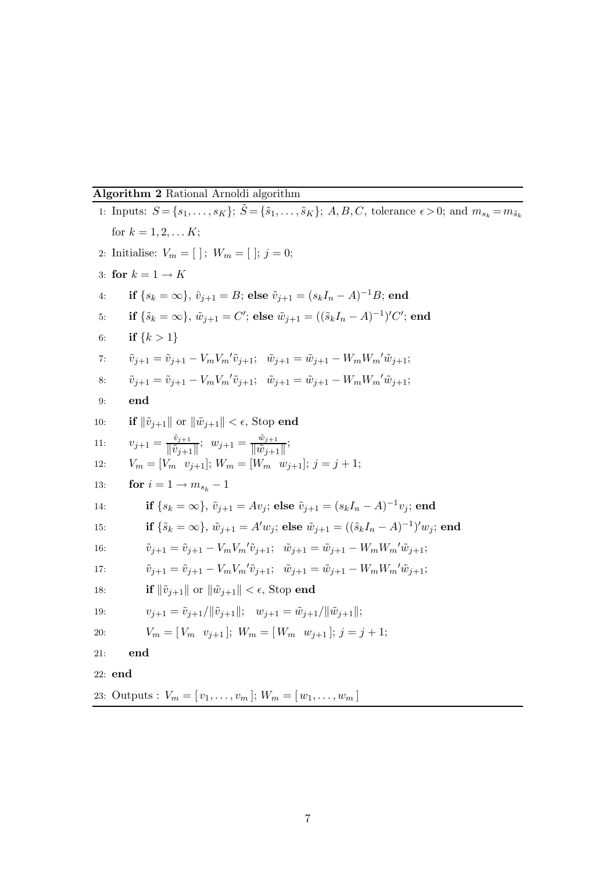## Algorithm 2 Rational Arnoldi algorithm

1: Inputs:  $S = \{s_1, \ldots, s_K\}$ ;  $\tilde{S} = \{\tilde{s}_1, \ldots, \tilde{s}_K\}$ ; A, B, C, tolerance  $\epsilon > 0$ ; and  $m_{s_k} = m_{\tilde{s}_k}$ for  $k = 1, 2, \dots K$ ; 2: Initialise:  $V_m = [ | ; W_m = [ ; j = 0;$ 3: for  $k = 1 \rightarrow K$ 4: if  $\{s_k = \infty\}$ ,  $\hat{v}_{j+1} = B$ ; else  $\tilde{v}_{j+1} = (s_k I_n - A)^{-1} B$ ; end 5: if  $\{\tilde{s}_k = \infty\}$ ,  $\tilde{w}_{j+1} = C'$ ; else  $\tilde{w}_{j+1} = ((\tilde{s}_k I_n - A)^{-1})' C'$ ; end 6: if  ${k > 1}$ 7:  $\tilde{v}_{j+1} = \tilde{v}_{j+1} - V_m V_m' \tilde{v}_{j+1}; \quad \tilde{w}_{j+1} = \tilde{w}_{j+1} - W_m W_m' \tilde{w}_{j+1};$ 8:  $\tilde{v}_{j+1} = \tilde{v}_{j+1} - V_m V_m' \tilde{v}_{j+1}; \quad \tilde{w}_{j+1} = \tilde{w}_{j+1} - W_m W_m' \tilde{w}_{j+1};$ 9: end 10: **if**  $\|\tilde{v}_{j+1}\|$  or  $\|\tilde{w}_{j+1}\| < \epsilon$ , Stop **end** 11:  $v_{j+1} = \frac{\tilde{v}_{j+1}}{\|\tilde{v}_{j+1}\|}$  $\frac{\tilde{v}_{j+1}}{\|\tilde{v}_{j+1}\|}$ ;  $w_{j+1} = \frac{\tilde{w}_{j+1}}{\|\tilde{w}_{j+1}\|}$  $\frac{w_{j+1}}{\|\tilde{w}_{j+1}\|}$ ; 12:  $V_m = [V_m \ v_{i+1}]$ ;  $W_m = [W_m \ w_{i+1}]$ ;  $j = j + 1$ ; 13: **for**  $i = 1 \rightarrow m_s, -1$ 14: **if**  $\{s_k = \infty\}$ ,  $\tilde{v}_{j+1} = Av_j$ ; **else**  $\tilde{v}_{j+1} = (s_kI_n - A)^{-1}v_j$ ; **end** 15: **if**  $\{\tilde{s}_k = \infty\}, \ \tilde{w}_{j+1} = A'w_j;$  else  $\tilde{w}_{j+1} = ((\tilde{s}_k I_n - A)^{-1})'w_j;$  end 16:  $\tilde{v}_{j+1} = \tilde{v}_{j+1} - V_m V_m' \tilde{v}_{j+1}; \quad \tilde{w}_{j+1} = \tilde{w}_{j+1} - W_m W_m' \tilde{w}_{j+1};$ 17:  $\tilde{v}_{j+1} = \tilde{v}_{j+1} - V_m V_m' \tilde{v}_{j+1}; \quad \tilde{w}_{j+1} = \tilde{w}_{j+1} - W_m W_m' \tilde{w}_{j+1};$ 18: **if**  $\|\tilde{v}_{i+1}\|$  or  $\|\tilde{w}_{i+1}\| < \epsilon$ , Stop end 19:  $v_{j+1} = \tilde{v}_{j+1}/\|\tilde{v}_{j+1}\|; \quad w_{j+1} = \tilde{w}_{j+1}/\|\tilde{w}_{j+1}\|;$ 20:  $V_m = [V_m \ v_{j+1}]; W_m = [W_m \ w_{j+1}]; j = j+1;$ 21: end 22: end 23: Outputs :  $V_m = [v_1, \ldots, v_m]; W_m = [w_1, \ldots, w_m]$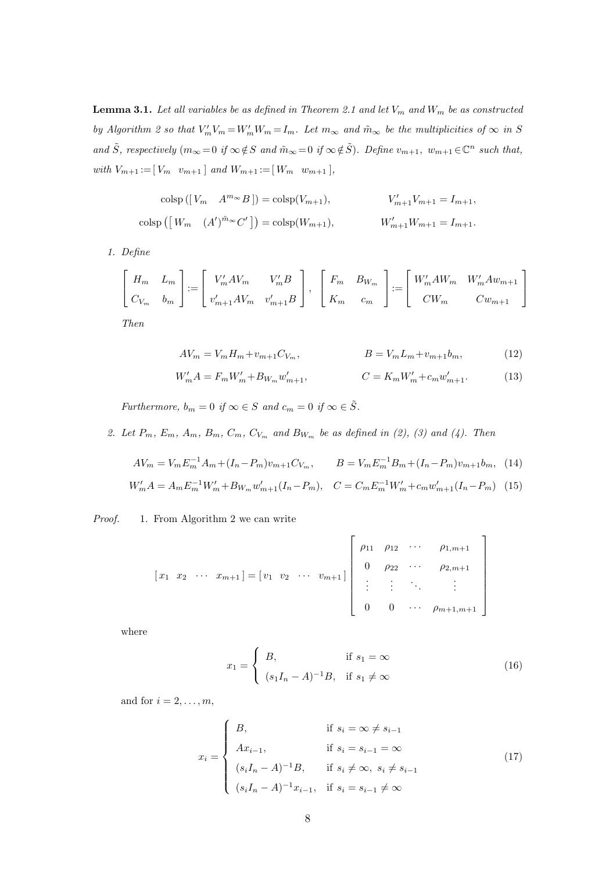**Lemma 3.1.** Let all variables be as defined in Theorem 2.1 and let  $V_m$  and  $W_m$  be as constructed by Algorithm 2 so that  $V'_mV_m = W'_mW_m = I_m$ . Let  $m_\infty$  and  $\tilde{m}_\infty$  be the multiplicities of  $\infty$  in S and  $\tilde{S}$ , respectively  $(m_{\infty}=0 \text{ if } \infty \notin S \text{ and } \tilde{m}_{\infty}=0 \text{ if } \infty \notin \tilde{S})$ . Define  $v_{m+1}, w_{m+1} \in \mathbb{C}^n$  such that, with  $V_{m+1} := [V_m \quad v_{m+1}]$  and  $W_{m+1} := [W_m \quad w_{m+1}]$ ,

$$
\operatorname{colsp}([V_m \quad A^{m_{\infty}}B]) = \operatorname{colsp}(V_{m+1}), \qquad V'_{m+1}V_{m+1} = I_{m+1},
$$
  

$$
\operatorname{colsp}([W_m \quad (A')^{\tilde{m}_{\infty}}C']) = \operatorname{colsp}(W_{m+1}), \qquad W'_{m+1}W_{m+1} = I_{m+1}.
$$

1. Define

$$
\begin{bmatrix}\nH_m & L_m \\
C_{V_m} & b_m\n\end{bmatrix} := \begin{bmatrix}\nV'_m A V_m & V'_m B \\
v'_{m+1} A V_m & v'_{m+1} B\n\end{bmatrix}, \begin{bmatrix}\nF_m & B_{W_m} \\
K_m & c_m\n\end{bmatrix} := \begin{bmatrix}\nW'_m A W_m & W'_m A w_{m+1} \\
CW_m & C w_{m+1}\n\end{bmatrix}
$$

Then

$$
AV_m = V_m H_m + v_{m+1} C_{V_m}, \qquad \qquad B = V_m L_m + v_{m+1} b_m, \qquad (12)
$$

$$
W'_{m}A = F_{m}W'_{m} + B_{W_{m}}w'_{m+1}, \qquad C = K_{m}W'_{m} + c_{m}w'_{m+1}.
$$
 (13)

Furthermore,  $b_m = 0$  if  $\infty \in S$  and  $c_m = 0$  if  $\infty \in \tilde{S}$ .

2. Let  $P_m$ ,  $E_m$ ,  $A_m$ ,  $B_m$ ,  $C_m$ ,  $C_{V_m}$  and  $B_{W_m}$  be as defined in (2), (3) and (4). Then

$$
AV_m = V_m E_m^{-1} A_m + (I_n - P_m) v_{m+1} C_{V_m}, \qquad B = V_m E_m^{-1} B_m + (I_n - P_m) v_{m+1} b_m, \tag{14}
$$

$$
W'_m A = A_m E_m^{-1} W'_m + B_{W_m} w'_{m+1} (I_n - P_m), \quad C = C_m E_m^{-1} W'_m + c_m w'_{m+1} (I_n - P_m) \tag{15}
$$

Proof. 1. From Algorithm 2 we can write

$$
\begin{bmatrix} x_1 & x_2 & \cdots & x_{m+1} \end{bmatrix} = \begin{bmatrix} v_1 & v_2 & \cdots & v_{m+1} \end{bmatrix} \begin{bmatrix} \rho_{11} & \rho_{12} & \cdots & \rho_{1,m+1} \\ 0 & \rho_{22} & \cdots & \rho_{2,m+1} \\ \vdots & \vdots & \ddots & \vdots \\ 0 & 0 & \cdots & \rho_{m+1,m+1} \end{bmatrix}
$$

where

$$
x_1 = \begin{cases} B, & \text{if } s_1 = \infty \\ (s_1 I_n - A)^{-1} B, & \text{if } s_1 \neq \infty \end{cases} \tag{16}
$$

and for  $i = 2, \ldots, m$ ,

$$
x_{i} = \begin{cases} B, & \text{if } s_{i} = \infty \neq s_{i-1} \\ Ax_{i-1}, & \text{if } s_{i} = s_{i-1} = \infty \\ (s_{i}I_{n} - A)^{-1}B, & \text{if } s_{i} \neq \infty, s_{i} \neq s_{i-1} \\ (s_{i}I_{n} - A)^{-1}x_{i-1}, & \text{if } s_{i} = s_{i-1} \neq \infty \end{cases}
$$
(17)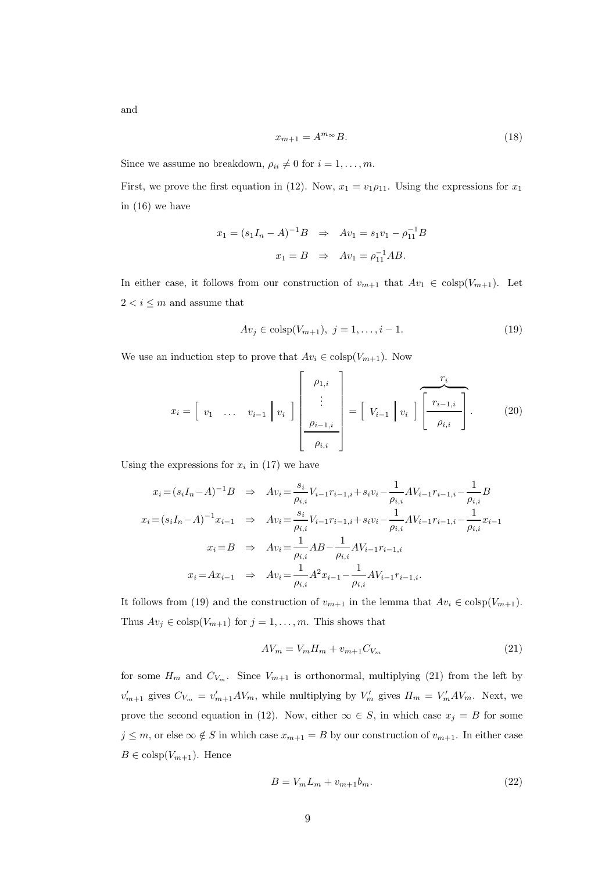and

$$
x_{m+1} = A^{m_{\infty}} B. \tag{18}
$$

Since we assume no breakdown,  $\rho_{ii} \neq 0$  for  $i = 1, \ldots, m$ .

First, we prove the first equation in (12). Now,  $x_1 = v_1 \rho_{11}$ . Using the expressions for  $x_1$ in (16) we have

$$
x_1 = (s_1I_n - A)^{-1}B \Rightarrow Av_1 = s_1v_1 - \rho_{11}^{-1}B
$$
  
 $x_1 = B \Rightarrow Av_1 = \rho_{11}^{-1}AB.$ 

In either case, it follows from our construction of  $v_{m+1}$  that  $Av_1 \in \text{colsp}(V_{m+1})$ . Let  $2 < i \leq m$  and assume that

$$
Av_j \in \text{colsp}(V_{m+1}), \ j = 1, \dots, i-1. \tag{19}
$$

We use an induction step to prove that  $Av_i \in \text{colsp}(V_{m+1})$ . Now

$$
x_i = \begin{bmatrix} v_1 & \dots & v_{i-1} \end{bmatrix} v_i \end{bmatrix} \begin{bmatrix} \rho_{1,i} \\ \vdots \\ \rho_{i-1,i} \\ \rho_{i,i} \end{bmatrix} = \begin{bmatrix} V_{i-1} & v_i \end{bmatrix} \begin{bmatrix} \frac{r_i}{r_{i-1,i}} \\ \rho_{i,i} \end{bmatrix} .
$$
 (20)

Using the expressions for  $x_i$  in (17) we have

$$
x_i = (s_i I_n - A)^{-1} B \Rightarrow Av_i = \frac{s_i}{\rho_{i,i}} V_{i-1} r_{i-1,i} + s_i v_i - \frac{1}{\rho_{i,i}} AV_{i-1} r_{i-1,i} - \frac{1}{\rho_{i,i}} B
$$
  
\n
$$
x_i = (s_i I_n - A)^{-1} x_{i-1} \Rightarrow Av_i = \frac{s_i}{\rho_{i,i}} V_{i-1} r_{i-1,i} + s_i v_i - \frac{1}{\rho_{i,i}} AV_{i-1} r_{i-1,i} - \frac{1}{\rho_{i,i}} x_{i-1}
$$
  
\n
$$
x_i = B \Rightarrow Av_i = \frac{1}{\rho_{i,i}} AB - \frac{1}{\rho_{i,i}} AV_{i-1} r_{i-1,i}
$$
  
\n
$$
x_i = Ax_{i-1} \Rightarrow Av_i = \frac{1}{\rho_{i,i}} A^2 x_{i-1} - \frac{1}{\rho_{i,i}} AV_{i-1} r_{i-1,i}.
$$

It follows from (19) and the construction of  $v_{m+1}$  in the lemma that  $Av_i \in \text{colsp}(V_{m+1})$ . Thus  $Av_j \in \text{colsp}(V_{m+1})$  for  $j = 1, ..., m$ . This shows that

$$
AV_m = V_m H_m + v_{m+1} C_{V_m} \tag{21}
$$

for some  $H_m$  and  $C_{V_m}$ . Since  $V_{m+1}$  is orthonormal, multiplying (21) from the left by  $v'_{m+1}$  gives  $C_{V_m} = v'_{m+1} A V_m$ , while multiplying by  $V'_m$  gives  $H_m = V'_m A V_m$ . Next, we prove the second equation in (12). Now, either  $\infty \in S$ , in which case  $x_j = B$  for some  $j \leq m$ , or else  $\infty \notin S$  in which case  $x_{m+1} = B$  by our construction of  $v_{m+1}$ . In either case  $B \in \text{colsp}(V_{m+1})$ . Hence

$$
B = V_m L_m + v_{m+1} b_m. \tag{22}
$$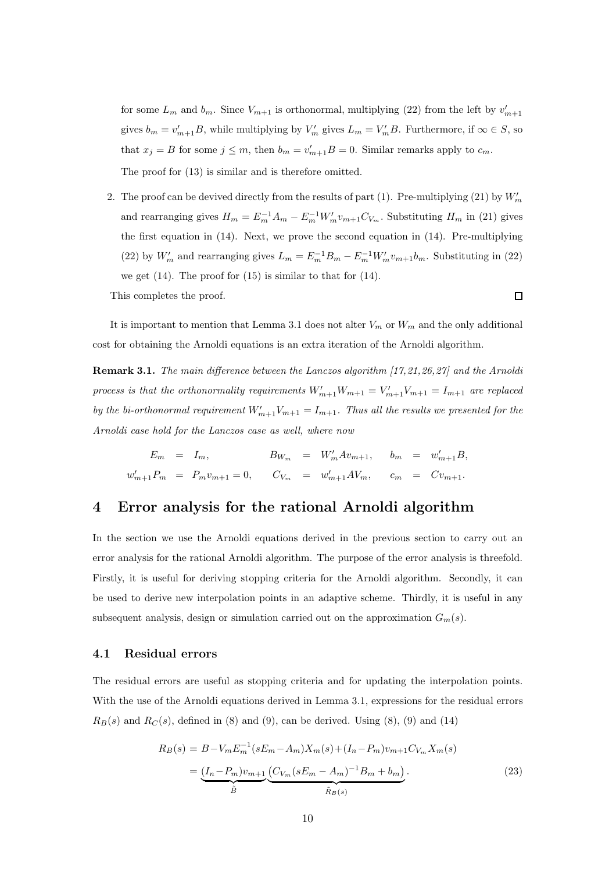for some  $L_m$  and  $b_m$ . Since  $V_{m+1}$  is orthonormal, multiplying (22) from the left by  $v'_{m+1}$ gives  $b_m = v'_{m+1}B$ , while multiplying by  $V'_m$  gives  $L_m = V'_mB$ . Furthermore, if  $\infty \in S$ , so that  $x_j = B$  for some  $j \leq m$ , then  $b_m = v'_{m+1}B = 0$ . Similar remarks apply to  $c_m$ . The proof for (13) is similar and is therefore omitted.

2. The proof can be devived directly from the results of part (1). Pre-multiplying (21) by  $W'_m$ and rearranging gives  $H_m = E_m^{-1}A_m - E_m^{-1}W_m'v_{m+1}C_{V_m}$ . Substituting  $H_m$  in (21) gives the first equation in (14). Next, we prove the second equation in (14). Pre-multiplying (22) by  $W'_m$  and rearranging gives  $L_m = E_m^{-1}B_m - E_m^{-1}W'_m v_{m+1}b_m$ . Substituting in (22) we get  $(14)$ . The proof for  $(15)$  is similar to that for  $(14)$ .

This completes the proof.

 $\Box$ 

It is important to mention that Lemma 3.1 does not alter  $V_m$  or  $W_m$  and the only additional cost for obtaining the Arnoldi equations is an extra iteration of the Arnoldi algorithm.

Remark 3.1. The main difference between the Lanczos algorithm [17,21,26,27] and the Arnoldi process is that the orthonormality requirements  $W'_{m+1}W_{m+1} = V'_{m+1}V_{m+1} = I_{m+1}$  are replaced by the bi-orthonormal requirement  $W'_{m+1}V_{m+1} = I_{m+1}$ . Thus all the results we presented for the Arnoldi case hold for the Lanczos case as well, where now

$$
E_m = I_m, \t\t B_{W_m} = W'_m A v_{m+1}, \t b_m = w'_{m+1} B,
$$
  

$$
w'_{m+1} P_m = P_m v_{m+1} = 0, \t C_{V_m} = w'_{m+1} A V_m, \t c_m = C v_{m+1}.
$$

# 4 Error analysis for the rational Arnoldi algorithm

In the section we use the Arnoldi equations derived in the previous section to carry out an error analysis for the rational Arnoldi algorithm. The purpose of the error analysis is threefold. Firstly, it is useful for deriving stopping criteria for the Arnoldi algorithm. Secondly, it can be used to derive new interpolation points in an adaptive scheme. Thirdly, it is useful in any subsequent analysis, design or simulation carried out on the approximation  $G_m(s)$ .

## 4.1 Residual errors

The residual errors are useful as stopping criteria and for updating the interpolation points. With the use of the Arnoldi equations derived in Lemma 3.1, expressions for the residual errors  $R_B(s)$  and  $R_C(s)$ , defined in (8) and (9), can be derived. Using (8), (9) and (14)

$$
R_B(s) = B - V_m E_m^{-1} (sE_m - A_m) X_m(s) + (I_n - P_m) v_{m+1} C_{V_m} X_m(s)
$$
  
= 
$$
\underbrace{(I_n - P_m) v_{m+1}}_{\tilde{B}} \underbrace{(C_{V_m} (sE_m - A_m)^{-1} B_m + b_m)}_{\tilde{R}_B(s)}.
$$
 (23)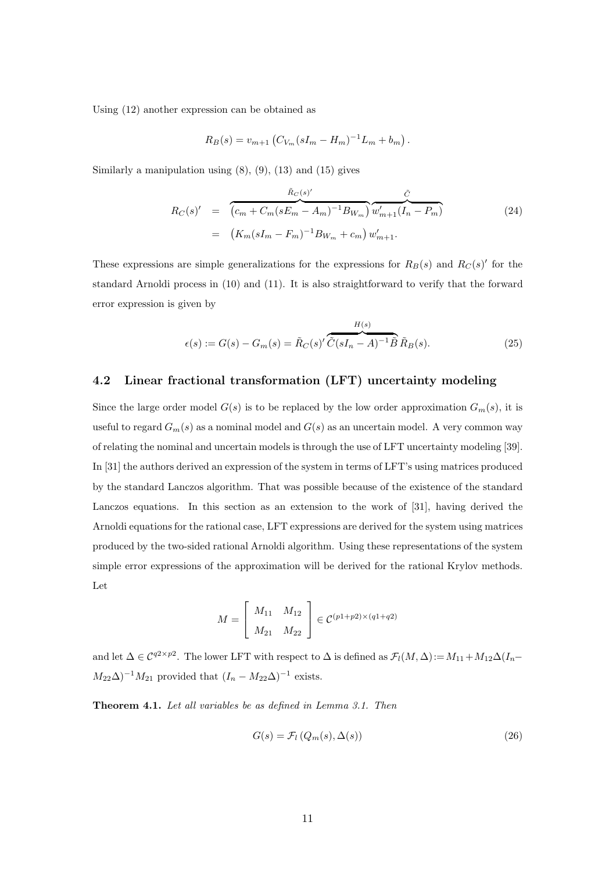Using (12) another expression can be obtained as

$$
R_B(s) = v_{m+1} (C_{V_m}(sI_m - H_m)^{-1}L_m + b_m).
$$

Similarly a manipulation using  $(8)$ ,  $(9)$ ,  $(13)$  and  $(15)$  gives

$$
R_C(s)' = \overbrace{(c_m + C_m(sE_m - A_m)^{-1}B_{W_m})}^{\tilde{R}_C(s)'} \overbrace{w'_{m+1}(I_n - P_m)}^{\tilde{C}}
$$
  
= 
$$
(K_m(sI_m - F_m)^{-1}B_{W_m} + c_m) w'_{m+1}.
$$
 (24)

These expressions are simple generalizations for the expressions for  $R_B(s)$  and  $R_C(s)'$  for the standard Arnoldi process in (10) and (11). It is also straightforward to verify that the forward error expression is given by

$$
\epsilon(s) := G(s) - G_m(s) = \tilde{R}_C(s)'\overbrace{\tilde{C}(sI_n - A)^{-1}\tilde{B}}^{H(s)}\tilde{R}_B(s).
$$
\n(25)

## 4.2 Linear fractional transformation (LFT) uncertainty modeling

Since the large order model  $G(s)$  is to be replaced by the low order approximation  $G_m(s)$ , it is useful to regard  $G_m(s)$  as a nominal model and  $G(s)$  as an uncertain model. A very common way of relating the nominal and uncertain models is through the use of LFT uncertainty modeling [39]. In [31] the authors derived an expression of the system in terms of LFT's using matrices produced by the standard Lanczos algorithm. That was possible because of the existence of the standard Lanczos equations. In this section as an extension to the work of [31], having derived the Arnoldi equations for the rational case, LFT expressions are derived for the system using matrices produced by the two-sided rational Arnoldi algorithm. Using these representations of the system simple error expressions of the approximation will be derived for the rational Krylov methods. Let

$$
M = \begin{bmatrix} M_{11} & M_{12} \\ M_{21} & M_{22} \end{bmatrix} \in \mathcal{C}^{(p1+p2)\times(q1+q2)}
$$

and let  $\Delta \in C^{q2\times p2}$ . The lower LFT with respect to  $\Delta$  is defined as  $\mathcal{F}_l(M, \Delta) := M_{11} + M_{12}\Delta(I_n - I_n)$  $M_{22}\Delta$ )<sup>-1</sup> $M_{21}$  provided that  $(I_n - M_{22}\Delta)^{-1}$  exists.

Theorem 4.1. Let all variables be as defined in Lemma 3.1. Then

$$
G(s) = \mathcal{F}_l\left(Q_m(s), \Delta(s)\right) \tag{26}
$$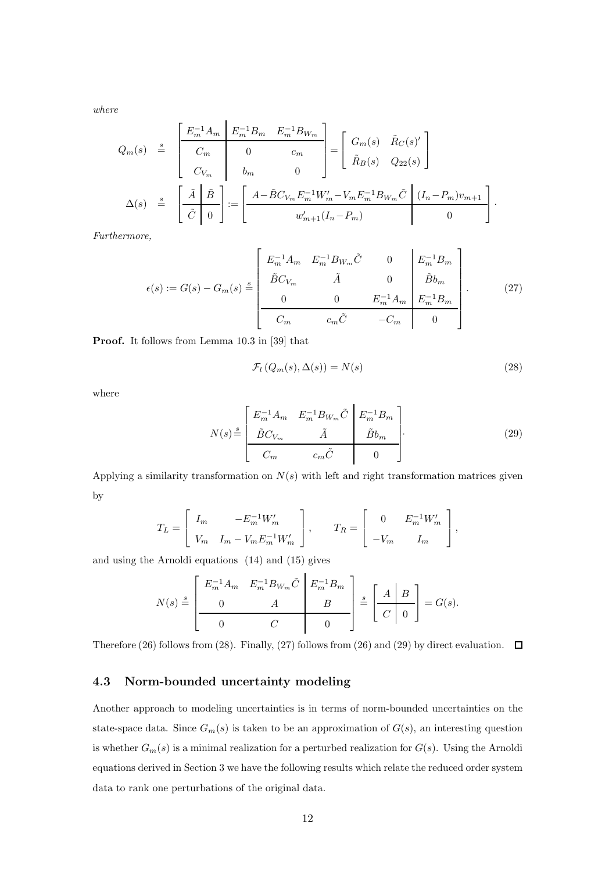where

$$
Q_m(s) \stackrel{s}{=} \begin{bmatrix} E_m^{-1} A_m & E_m^{-1} B_m & E_m^{-1} B_{W_m} \\ C_m & 0 & c_m \\ C_{V_m} & b_m & 0 \end{bmatrix} = \begin{bmatrix} G_m(s) & \tilde{R}_C(s)' \\ \tilde{R}_B(s) & Q_{22}(s) \end{bmatrix}
$$

$$
\Delta(s) \stackrel{s}{=} \begin{bmatrix} \tilde{A} & \tilde{B} \\ \tilde{C} & 0 \end{bmatrix} := \begin{bmatrix} A - \tilde{B} C_{V_m} E_m^{-1} W_m' - V_m E_m^{-1} B_{W_m} \tilde{C} & (I_n - P_m) v_{m+1} \\ w_{m+1}' (I_n - P_m) & 0 \end{bmatrix}.
$$

Furthermore,

$$
\epsilon(s) := G(s) - G_m(s) \stackrel{s}{=} \begin{bmatrix} E_m^{-1} A_m & E_m^{-1} B_{W_m} \tilde{C} & 0 & E_m^{-1} B_m \\ \tilde{B} C_{V_m} & \tilde{A} & 0 & \tilde{B} b_m \\ 0 & 0 & E_m^{-1} A_m & E_m^{-1} B_m \\ \hline C_m & c_m \tilde{C} & -C_m & 0 \end{bmatrix} . \tag{27}
$$

Proof. It follows from Lemma 10.3 in [39] that

$$
\mathcal{F}_l\left(Q_m(s), \Delta(s)\right) = N(s) \tag{28}
$$

where

$$
N(s) \stackrel{s}{=} \underbrace{\begin{bmatrix} E_m^{-1} A_m & E_m^{-1} B_{W_m} \tilde{C} & E_m^{-1} B_m \\ \tilde{B} C_{V_m} & \tilde{A} & \tilde{B} b_m \\ C_m & c_m \tilde{C} & 0 \end{bmatrix}}_{\text{(29)}}
$$

Applying a similarity transformation on  $N(s)$  with left and right transformation matrices given by

$$
T_L = \begin{bmatrix} I_m & -E_m^{-1} W'_m \\ V_m & I_m - V_m E_m^{-1} W'_m \end{bmatrix}, \qquad T_R = \begin{bmatrix} 0 & E_m^{-1} W'_m \\ -V_m & I_m \end{bmatrix},
$$

and using the Arnoldi equations (14) and (15) gives

$$
N(s) \stackrel{s}{=} \left[ \begin{array}{cc} E_m^{-1} A_m & E_m^{-1} B_{W_m} \tilde{C} & E_m^{-1} B_m \\ 0 & A & B \\ \hline 0 & C & 0 \end{array} \right] \stackrel{s}{=} \left[ \begin{array}{c} A & B \\ C & 0 \end{array} \right] = G(s).
$$

Therefore (26) follows from (28). Finally, (27) follows from (26) and (29) by direct evaluation.  $\Box$ 

## 4.3 Norm-bounded uncertainty modeling

Another approach to modeling uncertainties is in terms of norm-bounded uncertainties on the state-space data. Since  $G_m(s)$  is taken to be an approximation of  $G(s)$ , an interesting question is whether  $G_m(s)$  is a minimal realization for a perturbed realization for  $G(s)$ . Using the Arnoldi equations derived in Section 3 we have the following results which relate the reduced order system data to rank one perturbations of the original data.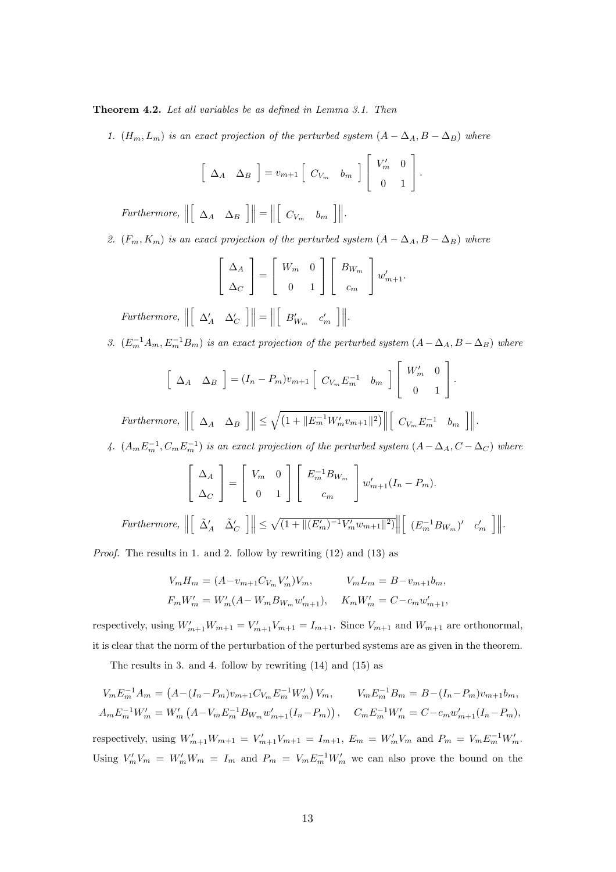Theorem 4.2. Let all variables be as defined in Lemma 3.1. Then

1.  $(H_m, L_m)$  is an exact projection of the perturbed system  $(A - \Delta_A, B - \Delta_B)$  where

$$
\left[\begin{array}{cc} \Delta_A & \Delta_B \end{array}\right] = v_{m+1} \left[\begin{array}{cc} C_{V_m} & b_m \end{array}\right] \left[\begin{array}{cc} V'_m & 0 \\ 0 & 1 \end{array}\right].
$$

Furthermore,  $\parallel$  $\left[ \begin{array}{cc} \Delta_A & \Delta_B \end{array} \right] \bigg\| = \bigg\|$  $\left[ \begin{array}{cc} C_{V_m} & b_m \end{array} \right]$ .

2.  $(F_m, K_m)$  is an exact projection of the perturbed system  $(A - \Delta_A, B - \Delta_B)$  where

$$
\left[\begin{array}{c}\Delta_A\\ \Delta_C\end{array}\right]=\left[\begin{array}{cc}W_m & 0\\ 0 & 1\end{array}\right]\left[\begin{array}{c}B_{W_m}\\ c_m\end{array}\right]w'_{m+1}.
$$

Furthermore,  $\parallel$  $\left[ \begin{array}{cc} \Delta_A' & \Delta_C' \end{array} \right]$  $\left|\left|\right| = \right|$  $\left[ \begin{array}{cc} B'_{W_m} & c'_m \end{array} \right]$  $\left\| \right\|.$ 

3.  $(E_m^{-1}A_m, E_m^{-1}B_m)$  is an exact projection of the perturbed system  $(A - \Delta_A, B - \Delta_B)$  where

$$
\left[\begin{array}{cc} \Delta_A & \Delta_B \end{array}\right] = (I_n - P_m)v_{m+1} \left[\begin{array}{cc} C_{V_m}E_m^{-1} & b_m \end{array}\right] \left[\begin{array}{cc} W'_m & 0 \\ 0 & 1 \end{array}\right].
$$

Furthermore,  $\parallel$  $\left[ \begin{array}{cc} \Delta_A & \Delta_B \end{array} \right] \left\| \leq \sqrt{\left( 1 + \|E_m^{-1}W_m'v_{m+1}\|^2 \right)} \right\|$  $\left[ \begin{array}{cc} C_{V_m} E_m^{-1} & b_m \end{array} \right] \bigg\| .$ 

4.  $(A_m E_m^{-1}, C_m E_m^{-1})$  is an exact projection of the perturbed system  $(A - \Delta_A, C - \Delta_C)$  where

$$
\begin{bmatrix}\n\Delta_A \\
\Delta_C\n\end{bmatrix} = \begin{bmatrix}\nV_m & 0 \\
0 & 1\n\end{bmatrix} \begin{bmatrix}\nE_m^{-1} B_{W_m} \\
c_m\n\end{bmatrix} w'_{m+1} (I_n - P_m).
$$
\n\nFurthermore,  $\left\| \begin{bmatrix} \tilde{\Delta}'_A & \tilde{\Delta}'_C \end{bmatrix} \right\| \le \sqrt{(1 + \left\| (E'_m)^{-1} V'_m w_{m+1} \right\|^2)} \left\| \begin{bmatrix} (E_m^{-1} B_{W_m})' & c'_m \end{bmatrix} \right\|.$ 

Proof. The results in 1. and 2. follow by rewriting (12) and (13) as

$$
V_m H_m = (A - v_{m+1} C_{V_m} V'_m) V_m, \t V_m L_m = B - v_{m+1} b_m,
$$
  

$$
F_m W'_m = W'_m (A - W_m B_{W_m} w'_{m+1}), \t K_m W'_m = C - c_m w'_{m+1},
$$

respectively, using  $W'_{m+1}W_{m+1} = V'_{m+1}V_{m+1} = I_{m+1}$ . Since  $V_{m+1}$  and  $W_{m+1}$  are orthonormal, it is clear that the norm of the perturbation of the perturbed systems are as given in the theorem.

The results in 3. and 4. follow by rewriting (14) and (15) as

$$
V_m E_m^{-1} A_m = (A - (I_n - P_m)v_{m+1}C_{V_m} E_m^{-1} W'_m) V_m, \t V_m E_m^{-1} B_m = B - (I_n - P_m)v_{m+1}b_m,
$$
  

$$
A_m E_m^{-1} W'_m = W'_m (A - V_m E_m^{-1} B_{W_m} w'_{m+1} (I_n - P_m)), \t C_m E_m^{-1} W'_m = C - c_m w'_{m+1} (I_n - P_m),
$$

respectively, using  $W'_{m+1}W_{m+1} = V'_{m+1}V_{m+1} = I_{m+1}, E_m = W'_{m}V_m$  and  $P_m = V_m E_m^{-1} W'_m$ . Using  $V'_m V_m = W'_m W_m = I_m$  and  $P_m = V_m E_m^{-1} W'_m$  we can also prove the bound on the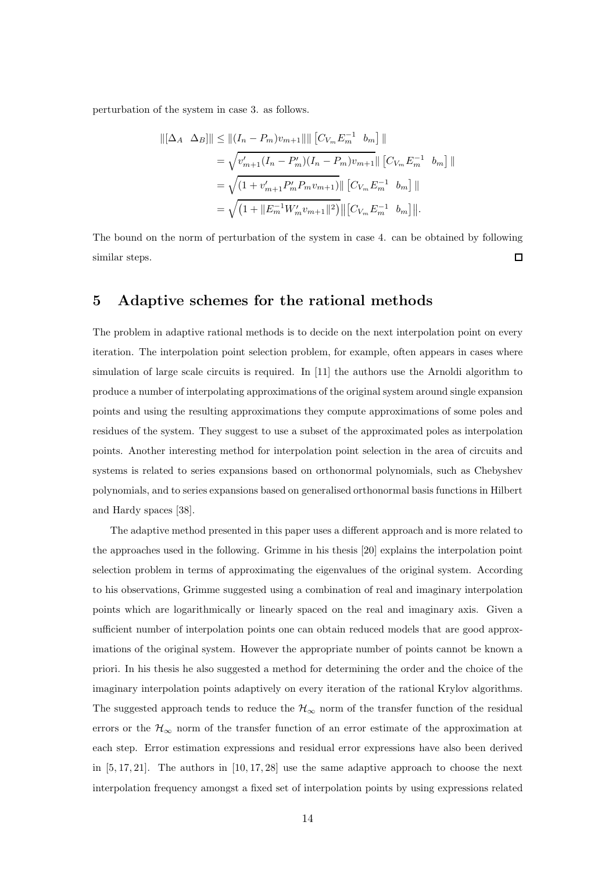perturbation of the system in case 3. as follows.

$$
\begin{aligned} ||[\Delta_A \ \Delta_B]|| &\le ||(I_n - P_m)v_{m+1}|| || [C_{V_m}E_m^{-1} \ b_m] || \\ &= \sqrt{v'_{m+1}(I_n - P'_m)(I_n - P_m)v_{m+1}} || [C_{V_m}E_m^{-1} \ b_m] || \\ &= \sqrt{(1 + v'_{m+1}P'_m P_m v_{m+1})} || [C_{V_m}E_m^{-1} \ b_m] || \\ &= \sqrt{(1 + ||E_m^{-1}W'_m v_{m+1}||^2)} || [C_{V_m}E_m^{-1} \ b_m] ||. \end{aligned}
$$

The bound on the norm of perturbation of the system in case 4. can be obtained by following  $\Box$ similar steps.

# 5 Adaptive schemes for the rational methods

The problem in adaptive rational methods is to decide on the next interpolation point on every iteration. The interpolation point selection problem, for example, often appears in cases where simulation of large scale circuits is required. In [11] the authors use the Arnoldi algorithm to produce a number of interpolating approximations of the original system around single expansion points and using the resulting approximations they compute approximations of some poles and residues of the system. They suggest to use a subset of the approximated poles as interpolation points. Another interesting method for interpolation point selection in the area of circuits and systems is related to series expansions based on orthonormal polynomials, such as Chebyshev polynomials, and to series expansions based on generalised orthonormal basis functions in Hilbert and Hardy spaces [38].

The adaptive method presented in this paper uses a different approach and is more related to the approaches used in the following. Grimme in his thesis [20] explains the interpolation point selection problem in terms of approximating the eigenvalues of the original system. According to his observations, Grimme suggested using a combination of real and imaginary interpolation points which are logarithmically or linearly spaced on the real and imaginary axis. Given a sufficient number of interpolation points one can obtain reduced models that are good approximations of the original system. However the appropriate number of points cannot be known a priori. In his thesis he also suggested a method for determining the order and the choice of the imaginary interpolation points adaptively on every iteration of the rational Krylov algorithms. The suggested approach tends to reduce the  $\mathcal{H}_{\infty}$  norm of the transfer function of the residual errors or the  $\mathcal{H}_{\infty}$  norm of the transfer function of an error estimate of the approximation at each step. Error estimation expressions and residual error expressions have also been derived in  $[5, 17, 21]$ . The authors in  $[10, 17, 28]$  use the same adaptive approach to choose the next interpolation frequency amongst a fixed set of interpolation points by using expressions related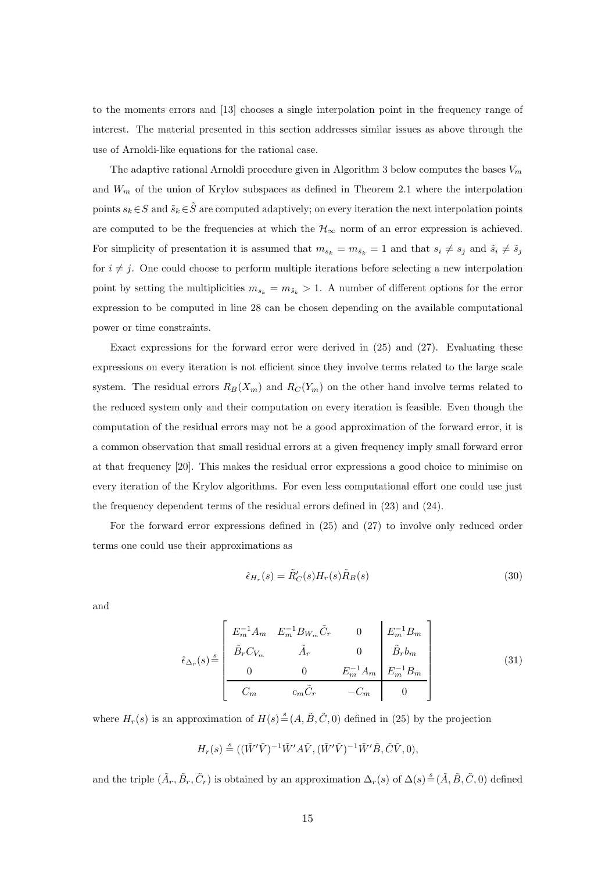to the moments errors and [13] chooses a single interpolation point in the frequency range of interest. The material presented in this section addresses similar issues as above through the use of Arnoldi-like equations for the rational case.

The adaptive rational Arnoldi procedure given in Algorithm 3 below computes the bases  $V_m$ and  $W_m$  of the union of Krylov subspaces as defined in Theorem 2.1 where the interpolation points  $s_k \in S$  and  $\tilde{s}_k \in \tilde{S}$  are computed adaptively; on every iteration the next interpolation points are computed to be the frequencies at which the  $\mathcal{H}_{\infty}$  norm of an error expression is achieved. For simplicity of presentation it is assumed that  $m_{s_k} = m_{\tilde{s}_k} = 1$  and that  $s_i \neq s_j$  and  $\tilde{s}_i \neq \tilde{s}_j$ for  $i \neq j$ . One could choose to perform multiple iterations before selecting a new interpolation point by setting the multiplicities  $m_{s_k} = m_{\tilde{s}_k} > 1$ . A number of different options for the error expression to be computed in line 28 can be chosen depending on the available computational power or time constraints.

Exact expressions for the forward error were derived in (25) and (27). Evaluating these expressions on every iteration is not efficient since they involve terms related to the large scale system. The residual errors  $R_B(X_m)$  and  $R_C(Y_m)$  on the other hand involve terms related to the reduced system only and their computation on every iteration is feasible. Even though the computation of the residual errors may not be a good approximation of the forward error, it is a common observation that small residual errors at a given frequency imply small forward error at that frequency [20]. This makes the residual error expressions a good choice to minimise on every iteration of the Krylov algorithms. For even less computational effort one could use just the frequency dependent terms of the residual errors defined in (23) and (24).

For the forward error expressions defined in (25) and (27) to involve only reduced order terms one could use their approximations as

$$
\hat{\epsilon}_{H_r}(s) = \tilde{R}'_C(s)H_r(s)\tilde{R}_B(s)
$$
\n(30)

and

$$
\hat{\epsilon}_{\Delta_r}(s) \stackrel{s}{=} \begin{bmatrix} E_m^{-1} A_m & E_m^{-1} B_{W_m} \tilde{C}_r & 0 & E_m^{-1} B_m \\ \tilde{B}_r C_{V_m} & \tilde{A}_r & 0 & \tilde{B}_r b_m \\ 0 & 0 & E_m^{-1} A_m & E_m^{-1} B_m \\ \hline C_m & c_m \tilde{C}_r & -C_m & 0 \end{bmatrix} \tag{31}
$$

where  $H_r(s)$  is an approximation of  $H(s) \stackrel{s}{=} (A, \tilde{B}, \tilde{C}, 0)$  defined in (25) by the projection

$$
H_r(s)\stackrel{s}{=}((\tilde{W}'\tilde{V})^{-1}\tilde{W}' A\tilde{V}, (\tilde{W}'\tilde{V})^{-1}\tilde{W}'\tilde{B}, \tilde{C}\tilde{V},0),
$$

and the triple  $(\tilde{A}_r, \tilde{B}_r, \tilde{C}_r)$  is obtained by an approximation  $\Delta_r(s)$  of  $\Delta(s) \stackrel{s}{=} (\tilde{A}, \tilde{B}, \tilde{C}, 0)$  defined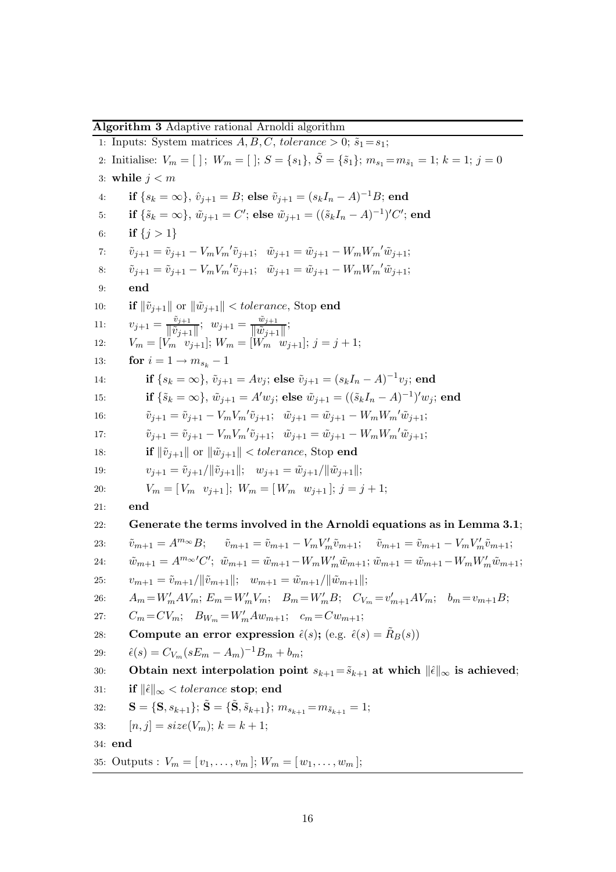Algorithm 3 Adaptive rational Arnoldi algorithm 1: Inputs: System matrices  $A, B, C, tolerance > 0; \tilde{s}_1 = s_1;$ 2: Initialise:  $V_m = [ ]; W_m = [ ]; S = {s_1}, \tilde{S} = {\tilde{s_1}}; m_{s_1} = m_{\tilde{s}_1} = 1; k = 1; j = 0$ 3: while  $i < m$ 4: if  $\{s_k = \infty\}$ ,  $\hat{v}_{j+1} = B$ ; else  $\tilde{v}_{j+1} = (s_k I_n - A)^{-1} B$ ; end 5: if  $\{\tilde{s}_k = \infty\}$ ,  $\tilde{w}_{j+1} = C'$ ; else  $\tilde{w}_{j+1} = ((\tilde{s}_k I_n - A)^{-1})' C'$ ; end 6: if  $\{j > 1\}$ 7:  $\tilde{v}_{j+1} = \tilde{v}_{j+1} - V_m V_m' \tilde{v}_{j+1}; \quad \tilde{w}_{j+1} = \tilde{w}_{j+1} - W_m W_m' \tilde{w}_{j+1};$ 8:  $\tilde{v}_{j+1} = \tilde{v}_{j+1} - V_m V_m' \tilde{v}_{j+1}; \quad \tilde{w}_{j+1} = \tilde{w}_{j+1} - W_m W_m' \tilde{w}_{j+1};$ 9: end 10: **if**  $\|\tilde{v}_{i+1}\|$  or  $\|\tilde{w}_{i+1}\|$  < tolerance, Stop **end** 11:  $v_{j+1} = \frac{\tilde{v}_{j+1}}{\|\tilde{v}_{j+1}\|}$  $\frac{\tilde{v}_{j+1}}{\|\tilde{v}_{j+1}\|}$ ;  $w_{j+1} = \frac{\tilde{w}_{j+1}}{\|\tilde{w}_{j+1}\|}$  $\frac{w_{j+1}}{\|\tilde{w}_{j+1}\|}$ ; 12:  $V_m = [V_m \ v_{j+1}]$ ;  $W_m = [W_m \ w_{j+1}]$ ;  $j = j + 1$ ; 13: **for**  $i = 1 \rightarrow m_{s_1} - 1$ 14: **if**  $\{s_k = \infty\}$ ,  $\tilde{v}_{j+1} = Av_j$ ; **else**  $\tilde{v}_{j+1} = (s_kI_n - A)^{-1}v_j$ ; **end** 15: **if**  $\{\tilde{s}_k = \infty\}, \ \tilde{w}_{j+1} = A'w_j;$  else  $\tilde{w}_{j+1} = ((\tilde{s}_k I_n - A)^{-1})'w_j;$  end 16:  $\tilde{v}_{j+1} = \tilde{v}_{j+1} - V_m V_m' \tilde{v}_{j+1}; \quad \tilde{w}_{j+1} = \tilde{w}_{j+1} - W_m W_m' \tilde{w}_{j+1};$ 17:  $\tilde{v}_{j+1} = \tilde{v}_{j+1} - V_m V_m' \tilde{v}_{j+1}; \quad \tilde{w}_{j+1} = \tilde{w}_{j+1} - W_m W_m' \tilde{w}_{j+1};$ 18: **if**  $\|\tilde{v}_{i+1}\|$  or  $\|\tilde{w}_{i+1}\|$  < tolerance, Stop end 19:  $v_{i+1} = \tilde{v}_{i+1}/\|\tilde{v}_{i+1}\|; \quad w_{i+1} = \tilde{w}_{i+1}/\|\tilde{w}_{i+1}\|;$ 20:  $V_m = [V_m \ v_{i+1}]; W_m = [W_m \ w_{i+1}]; j = j+1;$ 21: end 22: Generate the terms involved in the Arnoldi equations as in Lemma 3.1; 23:  $\tilde{v}_{m+1} = A^{m_{\infty}} B;$   $\tilde{v}_{m+1} = \tilde{v}_{m+1} - V_m V'_m \tilde{v}_{m+1};$   $\tilde{v}_{m+1} = \tilde{v}_{m+1} - V_m V'_m \tilde{v}_{m+1};$ 24:  $\tilde{w}_{m+1} = A^{m_{\infty}}' C'; \ \tilde{w}_{m+1} = \tilde{w}_{m+1} - W_m W'_m \tilde{w}_{m+1}; \ \tilde{w}_{m+1} = \tilde{w}_{m+1} - W_m W'_m \tilde{w}_{m+1};$ 25:  $v_{m+1} = \tilde{v}_{m+1}/\|\tilde{v}_{m+1}\|; \quad w_{m+1} = \tilde{w}_{m+1}/\|\tilde{w}_{m+1}\|;$ 26:  $A_m = W'_m A V_m$ ;  $E_m = W'_m V_m$ ;  $B_m = W'_m B$ ;  $C_{V_m} = v'_{m+1} A V_m$ ;  $b_m = v_{m+1} B$ ; 27:  $C_m = CV_m; \quad B_{W_m} = W'_m A w_{m+1}; \quad c_m = C w_{m+1};$ 28: Compute an error expression  $\hat{\epsilon}(s)$ ; (e.g.  $\hat{\epsilon}(s) = \hat{R}_B(s)$ ) 29:  $\hat{\epsilon}(s) = C_{V_m}(sE_m - A_m)^{-1}B_m + b_m;$ 30: Obtain next interpolation point  $s_{k+1} = \tilde{s}_{k+1}$  at which  $\|\hat{\epsilon}\|_{\infty}$  is achieved; 31: if  $\|\hat{\epsilon}\|_{\infty} <$  tolerance stop; end 32:  $\mathbf{S} = \{\mathbf{S}, s_{k+1}\}; \, \tilde{\mathbf{S}} = \{\tilde{\mathbf{S}}, \tilde{s}_{k+1}\}; \, m_{s_{k+1}} = m_{\tilde{s}_{k+1}} = 1;$ 33:  $[n, j] = size(V_m); k = k + 1;$ 34: end 35: Outputs :  $V_m = [v_1, \ldots, v_m]$ ;  $W_m = [w_1, \ldots, w_m]$ ;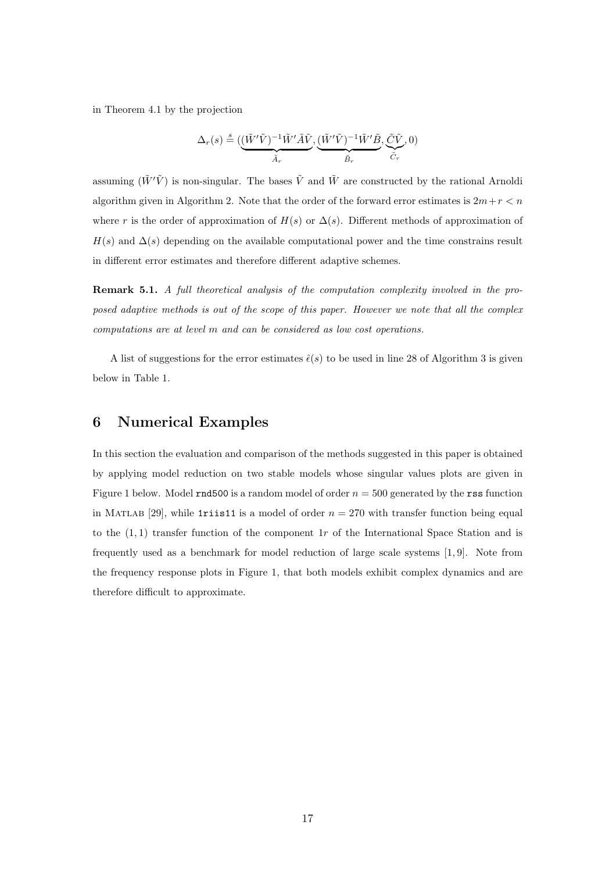in Theorem 4.1 by the projection

$$
\Delta_r(s) \stackrel{s}{=} (\underbrace{(\tilde{W}'\tilde{V})^{-1}\tilde{W}'\tilde{A}\tilde{V}}_{\tilde{A}_r}, \underbrace{(\tilde{W}'\tilde{V})^{-1}\tilde{W}'\tilde{B}}_{\tilde{B}_r}, \underbrace{\tilde{C}\tilde{V}}_{\tilde{C}_r}, 0)
$$

assuming  $(\tilde{W}'\tilde{V})$  is non-singular. The bases  $\tilde{V}$  and  $\tilde{W}$  are constructed by the rational Arnoldi algorithm given in Algorithm 2. Note that the order of the forward error estimates is  $2m+r < n$ where r is the order of approximation of  $H(s)$  or  $\Delta(s)$ . Different methods of approximation of  $H(s)$  and  $\Delta(s)$  depending on the available computational power and the time constrains result in different error estimates and therefore different adaptive schemes.

Remark 5.1. A full theoretical analysis of the computation complexity involved in the proposed adaptive methods is out of the scope of this paper. However we note that all the complex computations are at level m and can be considered as low cost operations.

A list of suggestions for the error estimates  $\hat{\epsilon}(s)$  to be used in line 28 of Algorithm 3 is given below in Table 1.

## 6 Numerical Examples

In this section the evaluation and comparison of the methods suggested in this paper is obtained by applying model reduction on two stable models whose singular values plots are given in Figure 1 below. Model rnd500 is a random model of order  $n = 500$  generated by the rss function in MATLAB [29], while 1riis11 is a model of order  $n = 270$  with transfer function being equal to the  $(1, 1)$  transfer function of the component 1r of the International Space Station and is frequently used as a benchmark for model reduction of large scale systems [1, 9]. Note from the frequency response plots in Figure 1, that both models exhibit complex dynamics and are therefore difficult to approximate.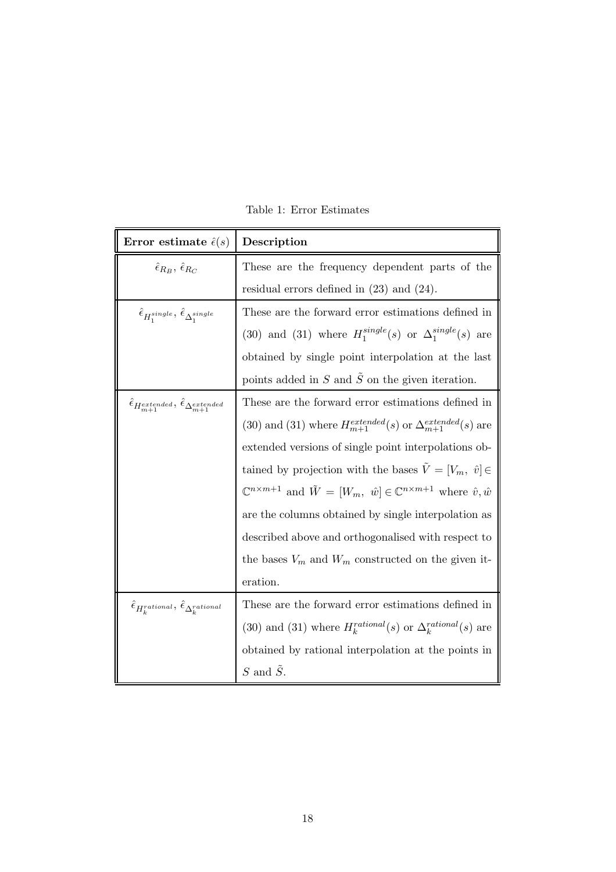| Error estimate $\hat{\epsilon}(s)$                                                 | Description                                                                                                         |
|------------------------------------------------------------------------------------|---------------------------------------------------------------------------------------------------------------------|
| $\hat{\epsilon}_{R_B}, \hat{\epsilon}_{R_C}$                                       | These are the frequency dependent parts of the                                                                      |
|                                                                                    | residual errors defined in $(23)$ and $(24)$ .                                                                      |
| $\hat{\epsilon}_{H_1^{single}}$ , $\hat{\epsilon}_{\Delta_1^{single}}$             | These are the forward error estimations defined in                                                                  |
|                                                                                    | (30) and (31) where $H_1^{single}(s)$ or $\Delta_1^{single}(s)$ are                                                 |
|                                                                                    | obtained by single point interpolation at the last                                                                  |
|                                                                                    | points added in $S$ and $\tilde{S}$ on the given iteration.                                                         |
| $\hat{\epsilon}_{H_{m+1}^{extended}}, \, \hat{\epsilon}_{\Delta_{m+1}^{extended}}$ | These are the forward error estimations defined in                                                                  |
|                                                                                    | (30) and (31) where $H_{m+1}^{extended}(s)$ or $\Delta_{m+1}^{extended}(s)$ are                                     |
|                                                                                    | extended versions of single point interpolations ob-                                                                |
|                                                                                    | tained by projection with the bases $\tilde{V} = [V_m, \hat{v}] \in$                                                |
|                                                                                    | $\mathbb{C}^{n \times m+1}$ and $\tilde{W} = [W_m, \hat{w}] \in \mathbb{C}^{n \times m+1}$ where $\hat{v}, \hat{w}$ |
|                                                                                    | are the columns obtained by single interpolation as                                                                 |
|                                                                                    | described above and orthogonalised with respect to                                                                  |
|                                                                                    | the bases $V_m$ and $W_m$ constructed on the given it-                                                              |
|                                                                                    | eration.                                                                                                            |
| $\hat{\epsilon}_{H_k^{rational}}, \hat{\epsilon}_{\Delta_k^{rational}}$            | These are the forward error estimations defined in                                                                  |
|                                                                                    | (30) and (31) where $H_k^{rational}(s)$ or $\Delta_k^{rational}(s)$ are                                             |
|                                                                                    | obtained by rational interpolation at the points in                                                                 |
|                                                                                    | $S$ and $\tilde{S}$ .                                                                                               |

Table 1: Error Estimates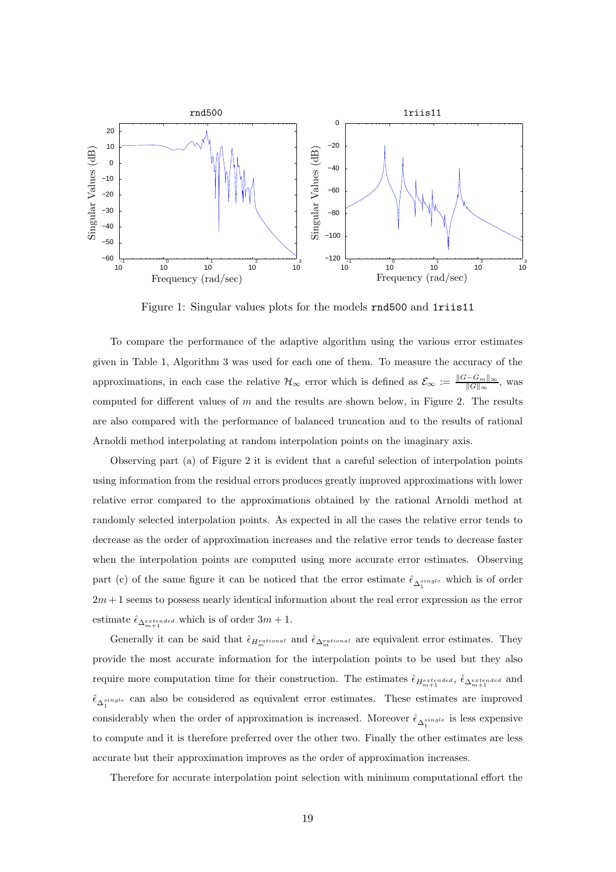

Figure 1: Singular values plots for the models rnd500 and 1riis11

To compare the performance of the adaptive algorithm using the various error estimates given in Table 1, Algorithm 3 was used for each one of them. To measure the accuracy of the approximations, in each case the relative  $\mathcal{H}_{\infty}$  error which is defined as  $\mathcal{E}_{\infty} := \frac{\|G - G_m\|_{\infty}}{\|G\|_{\infty}},$  was computed for different values of  $m$  and the results are shown below, in Figure 2. The results are also compared with the performance of balanced truncation and to the results of rational Arnoldi method interpolating at random interpolation points on the imaginary axis.

Observing part (a) of Figure 2 it is evident that a careful selection of interpolation points using information from the residual errors produces greatly improved approximations with lower relative error compared to the approximations obtained by the rational Arnoldi method at randomly selected interpolation points. As expected in all the cases the relative error tends to decrease as the order of approximation increases and the relative error tends to decrease faster when the interpolation points are computed using more accurate error estimates. Observing part (c) of the same figure it can be noticed that the error estimate  $\hat{\epsilon}_{\Delta_1^{single}}$  which is of order  $2m + 1$  seems to possess nearly identical information about the real error expression as the error estimate  $\hat{\epsilon}_{\Delta_{m+1}^{extended}}$  which is of order  $3m+1$ .

Generally it can be said that  $\hat{\epsilon}_{H_m^{rational}}$  and  $\hat{\epsilon}_{\Delta_m^{rational}}$  are equivalent error estimates. They provide the most accurate information for the interpolation points to be used but they also require more computation time for their construction. The estimates  $\hat{\epsilon}_{H_{m+1}^{extended}}, \hat{\epsilon}_{\Delta_{m+1}^{extended}}$  and  $\hat{\epsilon}_{\Delta_1^{single}}$  can also be considered as equivalent error estimates. These estimates are improved considerably when the order of approximation is increased. Moreover  $\hat{\epsilon}_{\Delta_1^{single}}$  is less expensive to compute and it is therefore preferred over the other two. Finally the other estimates are less accurate but their approximation improves as the order of approximation increases.

Therefore for accurate interpolation point selection with minimum computational effort the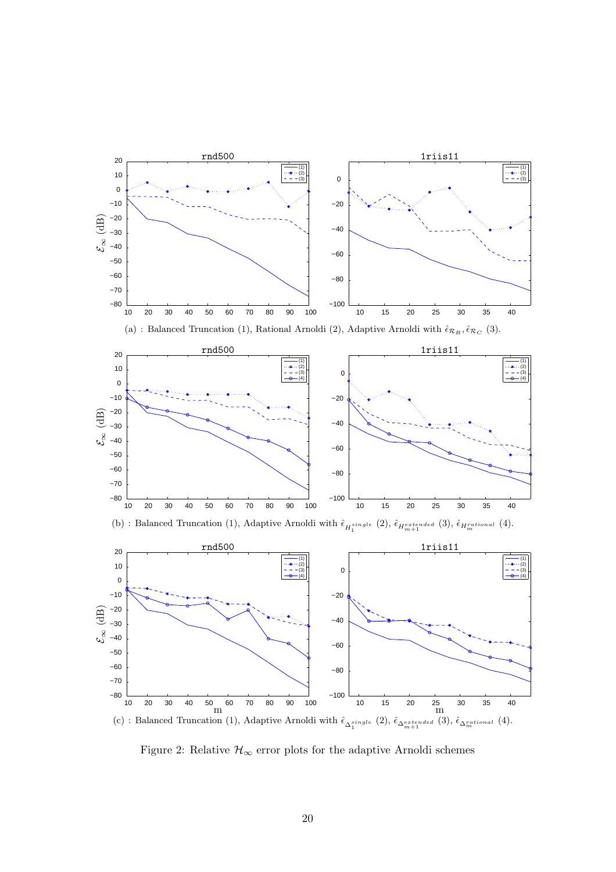

Figure 2: Relative  $\mathcal{H}_{\infty}$  error plots for the adaptive Arnoldi schemes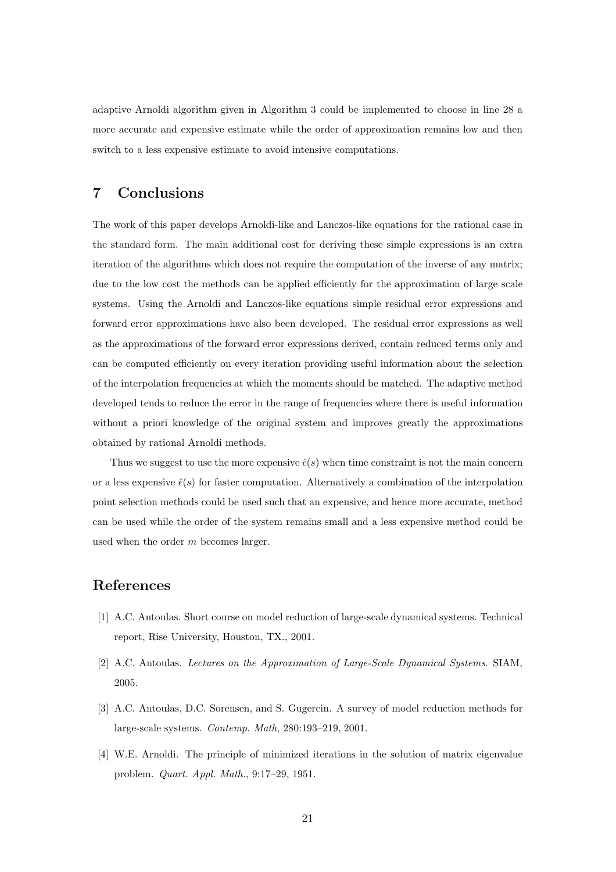adaptive Arnoldi algorithm given in Algorithm 3 could be implemented to choose in line 28 a more accurate and expensive estimate while the order of approximation remains low and then switch to a less expensive estimate to avoid intensive computations.

# 7 Conclusions

The work of this paper develops Arnoldi-like and Lanczos-like equations for the rational case in the standard form. The main additional cost for deriving these simple expressions is an extra iteration of the algorithms which does not require the computation of the inverse of any matrix; due to the low cost the methods can be applied efficiently for the approximation of large scale systems. Using the Arnoldi and Lanczos-like equations simple residual error expressions and forward error approximations have also been developed. The residual error expressions as well as the approximations of the forward error expressions derived, contain reduced terms only and can be computed efficiently on every iteration providing useful information about the selection of the interpolation frequencies at which the moments should be matched. The adaptive method developed tends to reduce the error in the range of frequencies where there is useful information without a priori knowledge of the original system and improves greatly the approximations obtained by rational Arnoldi methods.

Thus we suggest to use the more expensive  $\hat{\epsilon}(s)$  when time constraint is not the main concern or a less expensive  $\hat{\epsilon}(s)$  for faster computation. Alternatively a combination of the interpolation point selection methods could be used such that an expensive, and hence more accurate, method can be used while the order of the system remains small and a less expensive method could be used when the order m becomes larger.

# References

- [1] A.C. Antoulas. Short course on model reduction of large-scale dynamical systems. Technical report, Rise University, Houston, TX., 2001.
- [2] A.C. Antoulas. Lectures on the Approximation of Large-Scale Dynamical Systems. SIAM, 2005.
- [3] A.C. Antoulas, D.C. Sorensen, and S. Gugercin. A survey of model reduction methods for large-scale systems. Contemp. Math, 280:193–219, 2001.
- [4] W.E. Arnoldi. The principle of minimized iterations in the solution of matrix eigenvalue problem. Quart. Appl. Math., 9:17–29, 1951.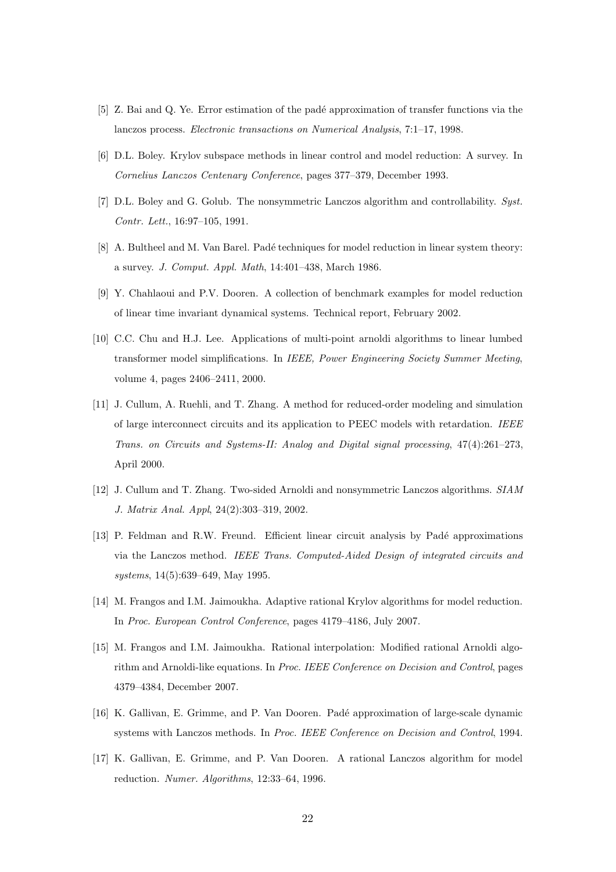- [5] Z. Bai and Q. Ye. Error estimation of the pad´e approximation of transfer functions via the lanczos process. Electronic transactions on Numerical Analysis, 7:1–17, 1998.
- [6] D.L. Boley. Krylov subspace methods in linear control and model reduction: A survey. In Cornelius Lanczos Centenary Conference, pages 377–379, December 1993.
- [7] D.L. Boley and G. Golub. The nonsymmetric Lanczos algorithm and controllability. Syst. Contr. Lett., 16:97–105, 1991.
- [8] A. Bultheel and M. Van Barel. Padé techniques for model reduction in linear system theory: a survey. J. Comput. Appl. Math, 14:401–438, March 1986.
- [9] Y. Chahlaoui and P.V. Dooren. A collection of benchmark examples for model reduction of linear time invariant dynamical systems. Technical report, February 2002.
- [10] C.C. Chu and H.J. Lee. Applications of multi-point arnoldi algorithms to linear lumbed transformer model simplifications. In IEEE, Power Engineering Society Summer Meeting, volume 4, pages 2406–2411, 2000.
- [11] J. Cullum, A. Ruehli, and T. Zhang. A method for reduced-order modeling and simulation of large interconnect circuits and its application to PEEC models with retardation. IEEE Trans. on Circuits and Systems-II: Analog and Digital signal processing, 47(4):261–273, April 2000.
- [12] J. Cullum and T. Zhang. Two-sided Arnoldi and nonsymmetric Lanczos algorithms. SIAM J. Matrix Anal. Appl, 24(2):303–319, 2002.
- [13] P. Feldman and R.W. Freund. Efficient linear circuit analysis by Padé approximations via the Lanczos method. IEEE Trans. Computed-Aided Design of integrated circuits and systems, 14(5):639–649, May 1995.
- [14] M. Frangos and I.M. Jaimoukha. Adaptive rational Krylov algorithms for model reduction. In Proc. European Control Conference, pages 4179–4186, July 2007.
- [15] M. Frangos and I.M. Jaimoukha. Rational interpolation: Modified rational Arnoldi algorithm and Arnoldi-like equations. In Proc. IEEE Conference on Decision and Control, pages 4379–4384, December 2007.
- [16] K. Gallivan, E. Grimme, and P. Van Dooren. Pad´e approximation of large-scale dynamic systems with Lanczos methods. In Proc. IEEE Conference on Decision and Control, 1994.
- [17] K. Gallivan, E. Grimme, and P. Van Dooren. A rational Lanczos algorithm for model reduction. Numer. Algorithms, 12:33–64, 1996.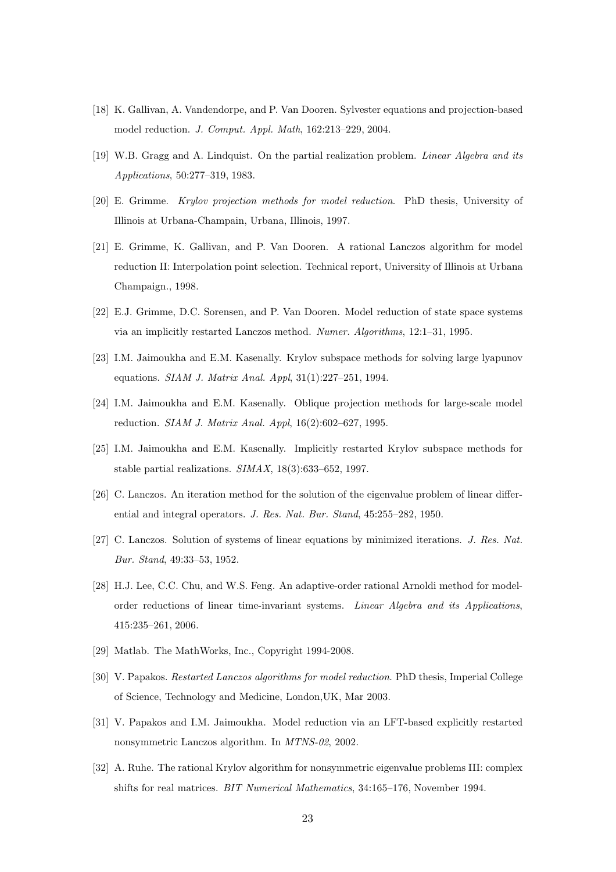- [18] K. Gallivan, A. Vandendorpe, and P. Van Dooren. Sylvester equations and projection-based model reduction. J. Comput. Appl. Math, 162:213–229, 2004.
- [19] W.B. Gragg and A. Lindquist. On the partial realization problem. Linear Algebra and its Applications, 50:277–319, 1983.
- [20] E. Grimme. Krylov projection methods for model reduction. PhD thesis, University of Illinois at Urbana-Champain, Urbana, Illinois, 1997.
- [21] E. Grimme, K. Gallivan, and P. Van Dooren. A rational Lanczos algorithm for model reduction II: Interpolation point selection. Technical report, University of Illinois at Urbana Champaign., 1998.
- [22] E.J. Grimme, D.C. Sorensen, and P. Van Dooren. Model reduction of state space systems via an implicitly restarted Lanczos method. Numer. Algorithms, 12:1–31, 1995.
- [23] I.M. Jaimoukha and E.M. Kasenally. Krylov subspace methods for solving large lyapunov equations. SIAM J. Matrix Anal. Appl, 31(1):227–251, 1994.
- [24] I.M. Jaimoukha and E.M. Kasenally. Oblique projection methods for large-scale model reduction. SIAM J. Matrix Anal. Appl, 16(2):602–627, 1995.
- [25] I.M. Jaimoukha and E.M. Kasenally. Implicitly restarted Krylov subspace methods for stable partial realizations. SIMAX, 18(3):633–652, 1997.
- [26] C. Lanczos. An iteration method for the solution of the eigenvalue problem of linear differential and integral operators. J. Res. Nat. Bur. Stand, 45:255–282, 1950.
- [27] C. Lanczos. Solution of systems of linear equations by minimized iterations. J. Res. Nat. Bur. Stand, 49:33–53, 1952.
- [28] H.J. Lee, C.C. Chu, and W.S. Feng. An adaptive-order rational Arnoldi method for modelorder reductions of linear time-invariant systems. Linear Algebra and its Applications, 415:235–261, 2006.
- [29] Matlab. The MathWorks, Inc., Copyright 1994-2008.
- [30] V. Papakos. Restarted Lanczos algorithms for model reduction. PhD thesis, Imperial College of Science, Technology and Medicine, London,UK, Mar 2003.
- [31] V. Papakos and I.M. Jaimoukha. Model reduction via an LFT-based explicitly restarted nonsymmetric Lanczos algorithm. In MTNS-02, 2002.
- [32] A. Ruhe. The rational Krylov algorithm for nonsymmetric eigenvalue problems III: complex shifts for real matrices. BIT Numerical Mathematics, 34:165–176, November 1994.